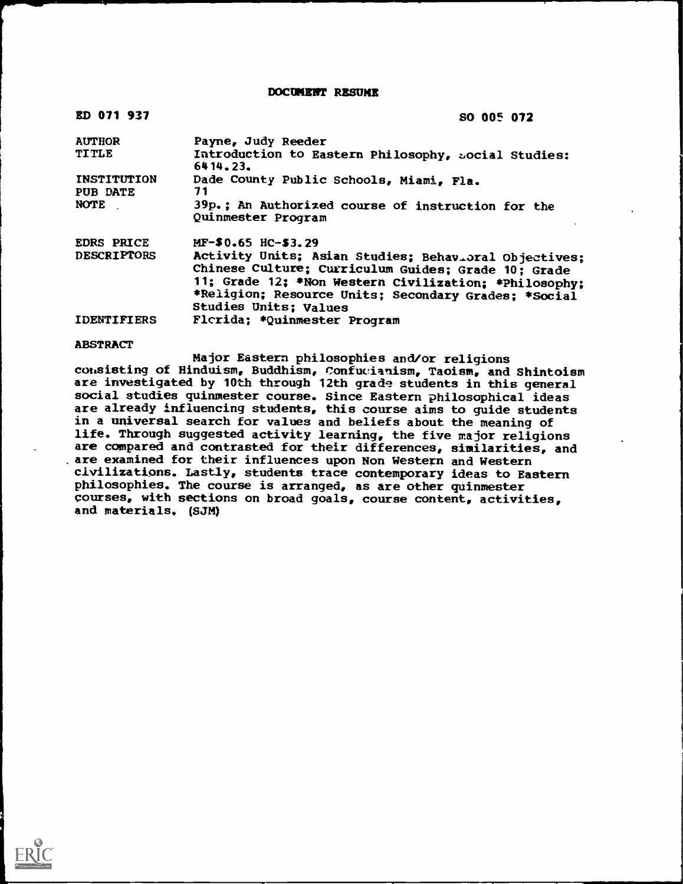DOCIDIENT RESUME

| ED 071 937                     | SO 005 072                                                                                                                                                                                                                                             |
|--------------------------------|--------------------------------------------------------------------------------------------------------------------------------------------------------------------------------------------------------------------------------------------------------|
| <b>AUTHOR</b>                  | Payne, Judy Reeder                                                                                                                                                                                                                                     |
| <b>TITLE</b>                   | Introduction to Eastern Philosophy, social Studies:<br>6414.23.                                                                                                                                                                                        |
| INSTITUTION<br><b>PUB DATE</b> | Dade County Public Schools, Miami, Fla.<br>71                                                                                                                                                                                                          |
| <b>NOTE</b>                    | 39p.; An Authorized course of instruction for the<br>Quinmester Program                                                                                                                                                                                |
| <b>EDRS PRICE</b>              | MF-\$0.65 HC-\$3.29                                                                                                                                                                                                                                    |
| <b>DESCRIPTORS</b>             | Activity Units; Asian Studies; Behav.oral Objectives;<br>Chinese Culture; Curriculum Guides; Grade 10; Grade<br>11; Grade 12; *Non Western Civilization; *Philosophy;<br>*Religion; Resource Units; Secondary Grades; *Social<br>Studies Units; Values |
| <b>IDENTIFIERS</b>             | Florida; *Quinmester Program                                                                                                                                                                                                                           |

## ABSTRACT

Major Eastern philosophies and/or religions consisting of Hinduism, Buddhism, Confucianism, Taoism, and Shintoism are investigated by 10th through 12th grade students in this general social studies quinmester course. Since Eastern philosophical ideas are already influencing students, this course aims to guide students in a universal search for values and beliefs about the meaning of life. Through suggested activity learning, the five major religions are compared and contrasted for their differences, similarities, and .are examined for their influences upon Non Western and Western civilizations. Lastly, students trace contemporary ideas to Eastern philosophies. The course is arranged, as are other quinmester courses, with sections on broad goals, course content, activities, and materials. (SJM)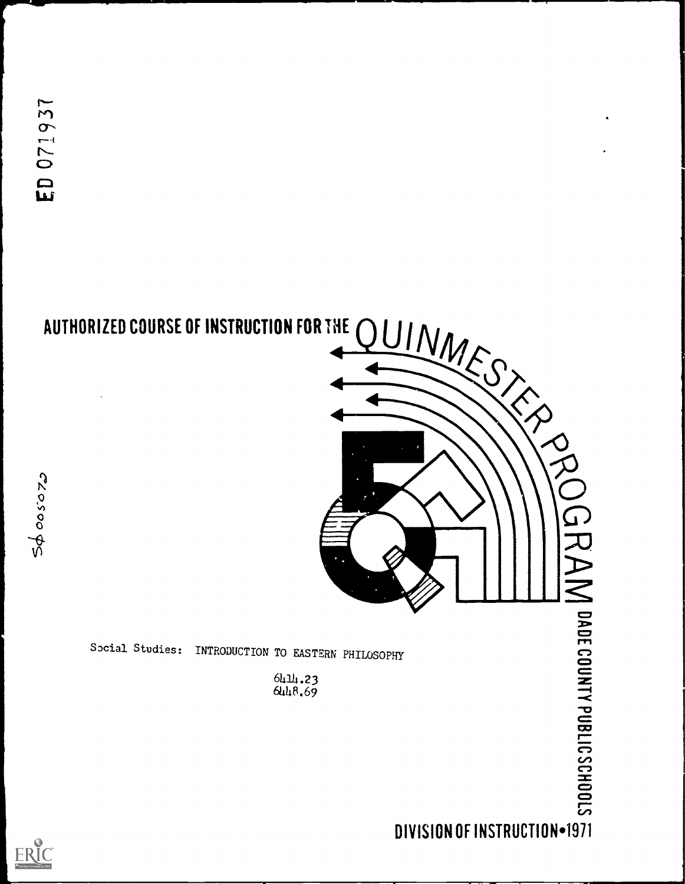# AUTHORIZED COURSE OF INSTRUCTION FOR THE  $\bigcap$   $\bigcap$   $\bigcap$   $\bigcap$  $\sum_{i}$  $\sum_{j}$ 0 O DADE COUNTY PUBLIC SCHOOLS Spcial Studies: INTRODUCTION TO EASTERN PHILOSOPHY 64111.23 6448.69 DIVISION OF INSTRUCTION=1971

**ERIC**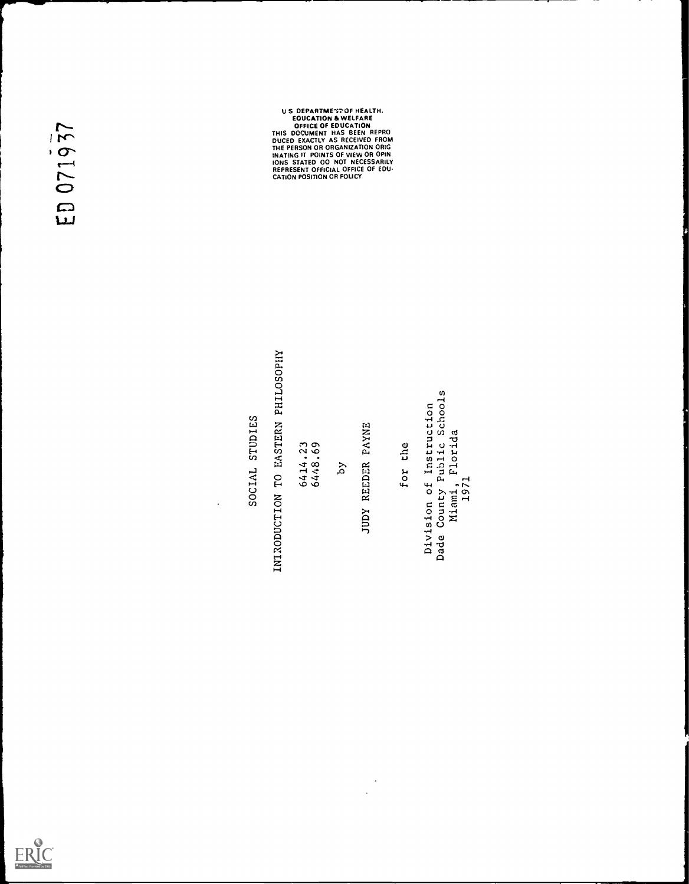$\cdot$  $\ddot{\phantom{a}}$ 

NIXODUCTION TO EXSTEND HILLOSOPHY<br>
SOCIAL STUDIES<br>
64.43.63<br>
THE PROPERTY RESERVED AND RESERVED FOR A RECORD FOR A RECORD FOR A RECORD FOR A RECORD FOR A RECORD FOR A RECORD FOR A RECORD FOR A RECORD FOR A RECORD FOR A RE

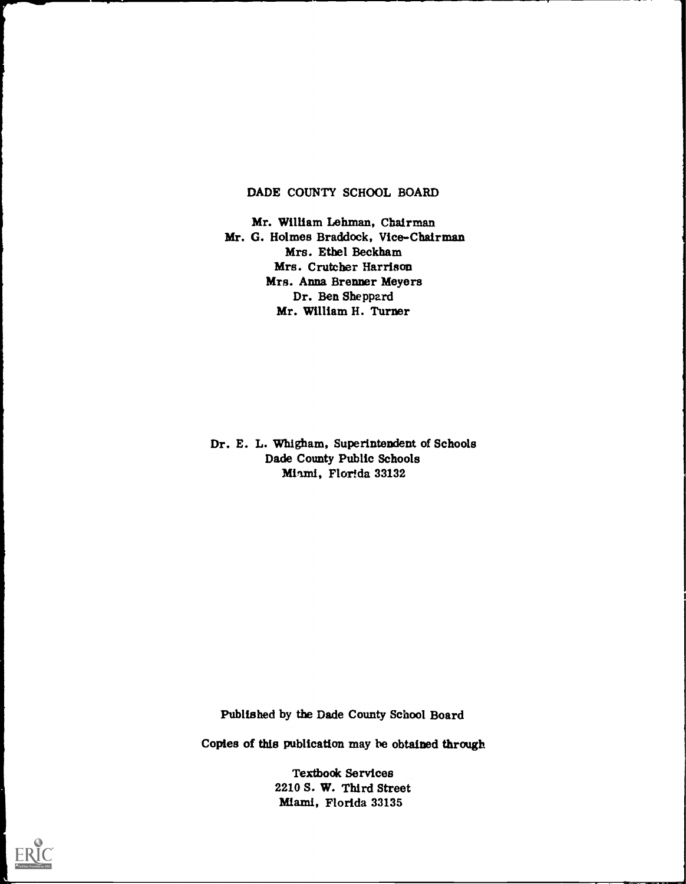# DADE COUNTY SCHOOL BOARD

Mr. William Lehman, Chairman Mr. G. Holmes Braddock, Vice-Chairman Mrs. Ethel Beckham Mrs. Crutcher Harrison Mrs. Anna Brenner Meyers Dr. Ben Sheppard Mr. William H. Turner

Dr. E. L. Whigham, Superintendent of Schools Dade County Public Schools Miami, Florida 33132

Published by the Dade County School Board

Copies of this publication may be obtained through

Textbook Services 2210 S. W. Third Street Miami, Florida 33135

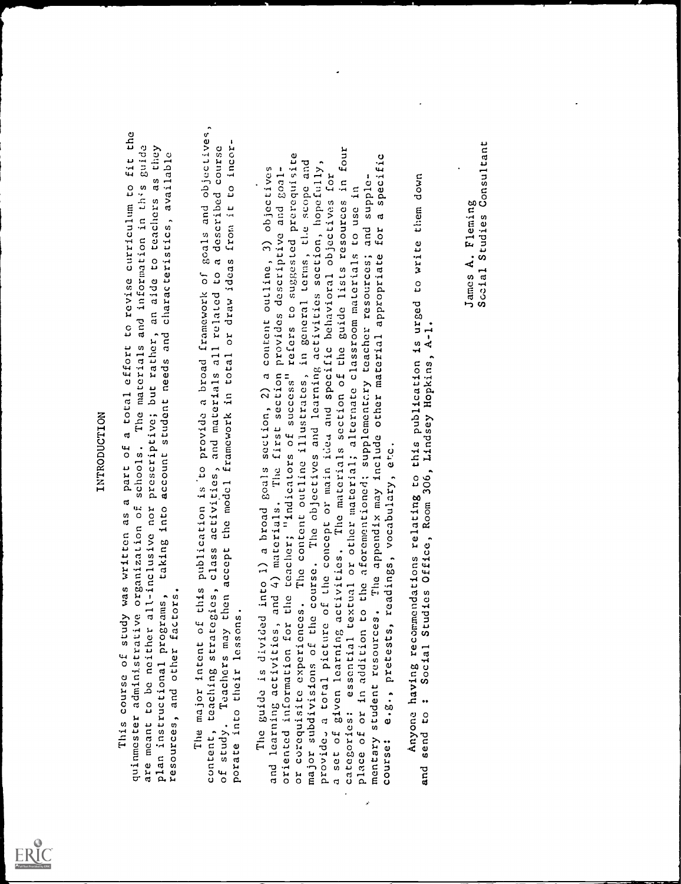

INTRODUCTION<br>quinmester administrative organization of schools. The materials and information in this guide<br>are meant to be neither all-inclusive nor prescriptive; but rather, an aide to teachers as they<br>plan instructional

pulmatics commons of study was miniten as a space at mini-term in vising commons of the pulmation of the pulmation as a space in the second of the second in the second of the second of the second of the second of the secon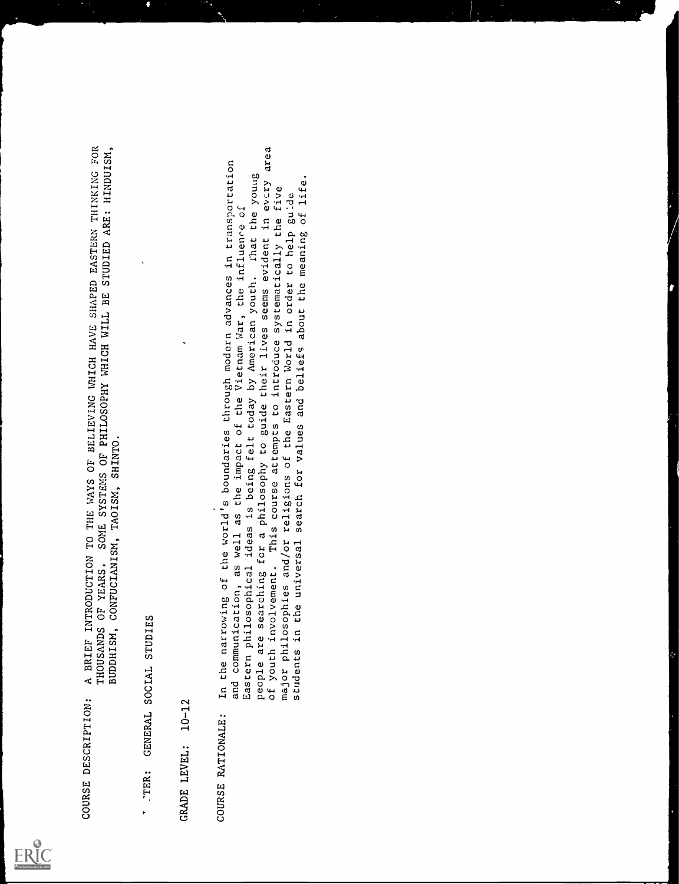

counse Description; A BREER ENTRODUCTION TO THE WAYS OF BELIEVING WHICH HAVE SHAPED EASTERN THINKING PORTER AND INDUCTION TO THE WAYS OF BELIEVING WHICH AND IRPORT ENERGY THINKING PRODUCTION, BUDDIESM, CONFIDENTAL, TAGES,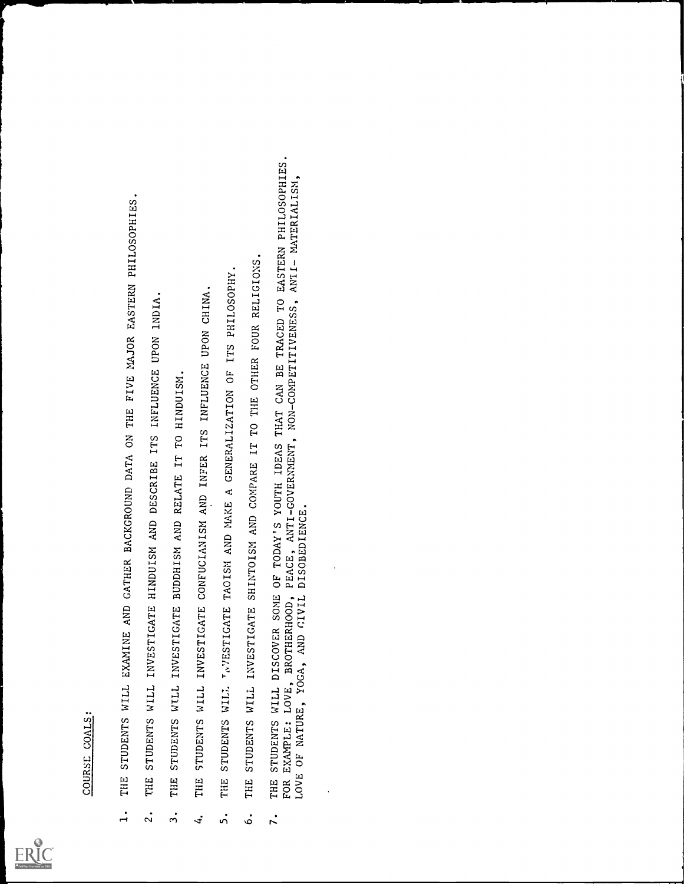

- <u>COURSE GOALS</u>:<br>THE STUDENTS WILL EXAMINE AND GATHER BACKGROUND DATA ON THE FIVE MAJOR EASTERN PHILOSOPHIES.<br>THE STUDENTS WILL INVESTIGATE HINDUISM AND DESCRIBE ITS INFLUENCE UPON 1NDIA.
	-
- 
- 
- 
- 
- 
- 1. THE STUDENTS WILL EXAMINE AND GATHER BACKGROUND DATA ON THE FIVE MAJOR EASTERN PHILOSOPHIES.<br>2. THE STUDENTS WILL INVESTIGATE HINDUISM AND DESCRIEE ITS INFLUENCE UPON INDIA.<br>4. THE STUDENTS WILL INVESTIGATE BUDDHISM AND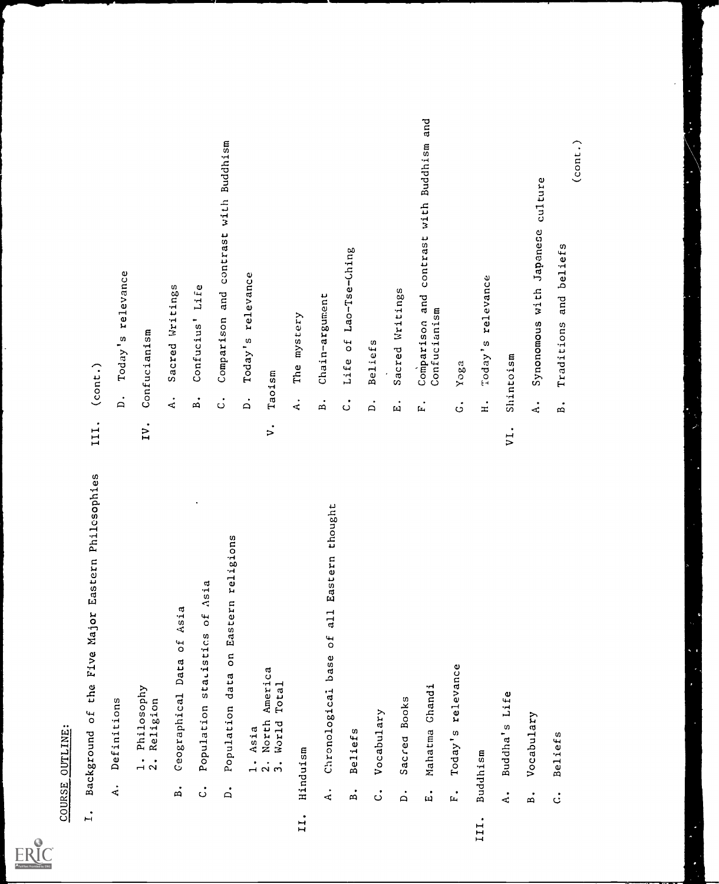

- 
- 
- 
- 
- 
- 
- 
- 
- 
- 
- 
- 
- 
- 
- 
- 
- 
- 
- 
- 
- 
- 
- 
- 
- 
- 
- 
- 
- 
- 
- 
- 
- 
- 
- COURSE OUTLINE: I. Background of the Five Major Eastern Philosophies III. (cont.) A. Definitions D. Today's relevance IV. Confucianism A. Sacred Writings B. Geographical Data of Asia B. Confucius' Life C. Population statistics of Asia C. Comparison and contrast with Buddhism D. Population data on Eastern religions D. Today's relevance 1. Asia 2. North America V. Taoism 3. World Total A. The mystery II. Hinduism B. Chain-argument A. Chronological base of all Eastern thought C. Life of Lao-Tse-Ching B. Beliefs D. Beliefs C. Vocabulary E. Sacred Writings D. Sacrea Books E. Mahatma Ghandi F. Today's relevance G. Yoga III. Buddhism H. Today's relevance A. Buddha's Life VI. Shintoism B. Vocabulary A. Synonomous with Japanese culture C. Beliefs B. Traditions and beliefs 1. Philosophy 2. Religion F. CoMparison and contrast with Buddhism and Confucianism (cont.)
	-
- 
- 
- 
-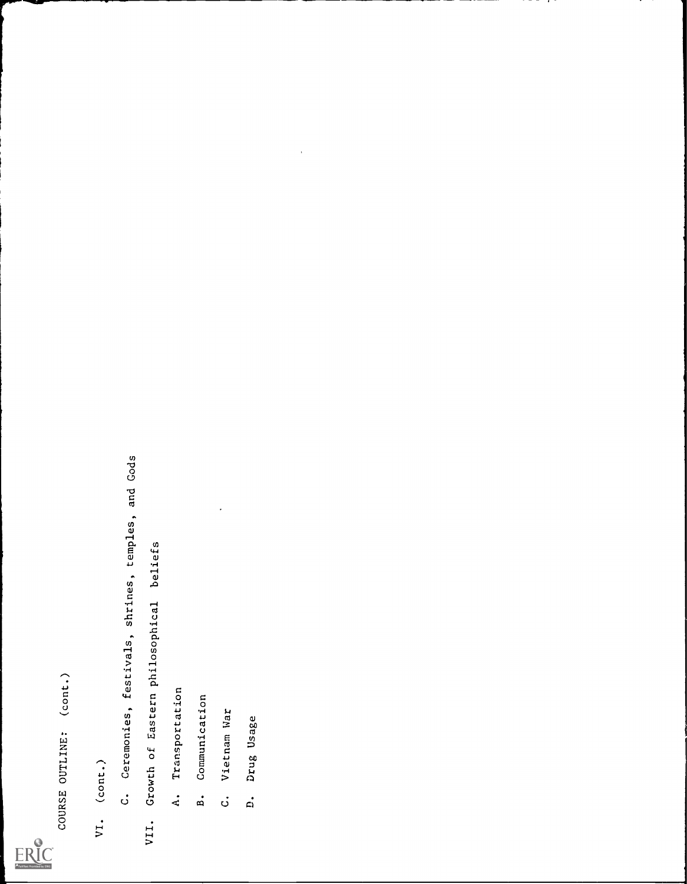

- 
- COURSE OUTLINE: (cont.)<br>VI. (cont.)<br>C. Ceremonies, festivals, shrines, temples, and Gods<br>VII. Growth of Eastern philosophical beliefs<br>A. Transportation<br>B. Communication<br>D. Vietnam War<br>D. Drug Usage
	-
- 
- 
- 
-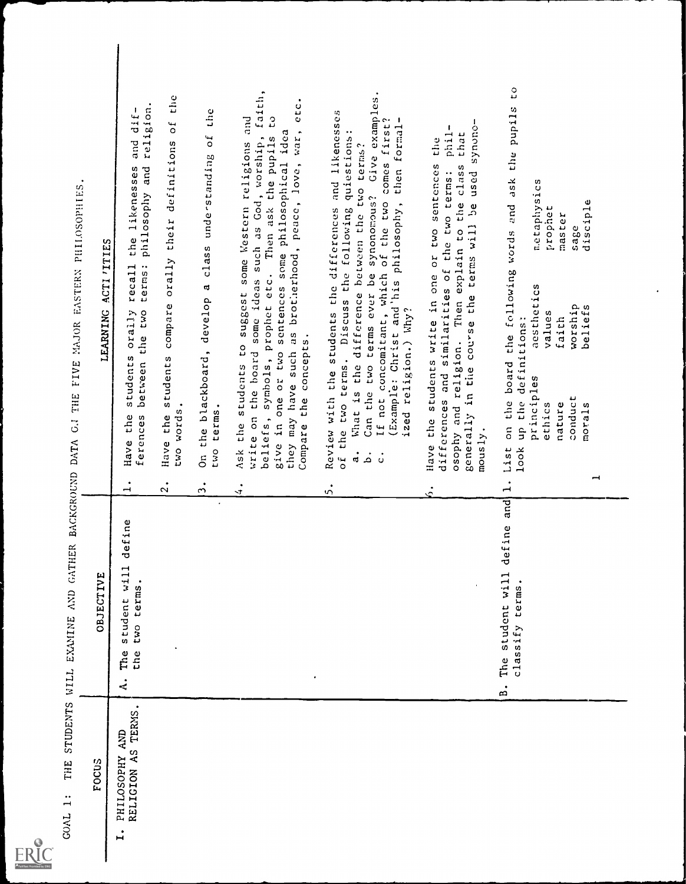

| THE FIVE MAJOR EASTERN PHILOSOPHIES                      | ACTI 'ITIES<br>LEARNING | religion.<br>dif.<br>and<br>philosophy and<br>the likenesses<br>terms:<br>recall<br>between the two<br>students orally<br>ferences<br>the<br>Have | the<br>óf<br>their definitions<br>$\alpha$ rally<br>compare<br>students<br>two words.<br>Have the | the<br>class understanding of<br>the blackboard, develop a<br>terms.<br><b>LMO</b><br>$\overline{5}$ | faith,<br>etc.<br>and<br>$\mathbf{c}$<br>war,<br>idea<br>some ideas such as God, worship,<br>etc. Then ask the pupils<br>Ask the students to suggest some Western religions<br>as brotherhood, peace, love,<br>sentences some philosophical<br>beliefs, symbols, prophet<br>Compare the concepts.<br>write on the board<br>they may have such<br>give in one or two<br>$\bullet$ | synonomous? Give examples.<br>students the differences and likenesses<br>first?<br>-1<br>then formal<br>quiestions:<br>What is the difference between the two terms?<br>comes<br>(Example: Christ and his philosophy,<br>of the two<br>of the two terms. Discuss the following<br>ed<br>De<br>If not concomitant, which<br>terms ever<br>ized religion.) Why?<br>Can the two<br>Review with the<br>$\ddot{a}$<br>.<br>م<br>$\ddot{\circ}$ | synonc-<br>phil-<br>that<br>the<br>fi<br>or two sentences<br>and religion. Then explain to the class<br>used<br>terms:<br>്റ<br>differences and similarities of the two<br>terms will<br>Have the students write in one<br>course the<br>generally in the<br>mously.<br>osophy | $\frac{0}{2}$<br>pupils<br>the<br>ask<br>netaphysics<br>disciple<br>and<br>prophet<br>master<br>sage<br>on the board the following words<br>aesthetics<br>worship<br>beliefs<br>values<br>definitions:<br>faith<br>principles<br>conduct<br>the<br>ethics<br>nature<br>morals<br>η<br>List<br>look<br>⊣ |
|----------------------------------------------------------|-------------------------|---------------------------------------------------------------------------------------------------------------------------------------------------|---------------------------------------------------------------------------------------------------|------------------------------------------------------------------------------------------------------|----------------------------------------------------------------------------------------------------------------------------------------------------------------------------------------------------------------------------------------------------------------------------------------------------------------------------------------------------------------------------------|-------------------------------------------------------------------------------------------------------------------------------------------------------------------------------------------------------------------------------------------------------------------------------------------------------------------------------------------------------------------------------------------------------------------------------------------|--------------------------------------------------------------------------------------------------------------------------------------------------------------------------------------------------------------------------------------------------------------------------------|---------------------------------------------------------------------------------------------------------------------------------------------------------------------------------------------------------------------------------------------------------------------------------------------------------|
| THE STUDENTS WILL EXAMINE AND GATHER BACKGROUND DATA G.I | <b>OBJECTIVE</b>        | $\rightarrow$<br>define<br>student will<br>two terms.<br>the<br>The<br>$\ddot{\mathbf{A}}$ .                                                      | $\ddot{\Omega}$                                                                                   | $\dot{\tilde{}}$                                                                                     | <b>st</b>                                                                                                                                                                                                                                                                                                                                                                        | $\ddot{\cdot}$                                                                                                                                                                                                                                                                                                                                                                                                                            | Ó                                                                                                                                                                                                                                                                              | $\dot{1}$<br>and<br>define<br>The student will<br>terms.<br>classify<br>ക്                                                                                                                                                                                                                              |
| <b>TT TVOS</b>                                           | <b>EOCUS</b>            | RELIGION AS TERMS.<br>AND<br>PHILOSOPHY<br>$\blacktriangleright$                                                                                  |                                                                                                   |                                                                                                      |                                                                                                                                                                                                                                                                                                                                                                                  |                                                                                                                                                                                                                                                                                                                                                                                                                                           |                                                                                                                                                                                                                                                                                |                                                                                                                                                                                                                                                                                                         |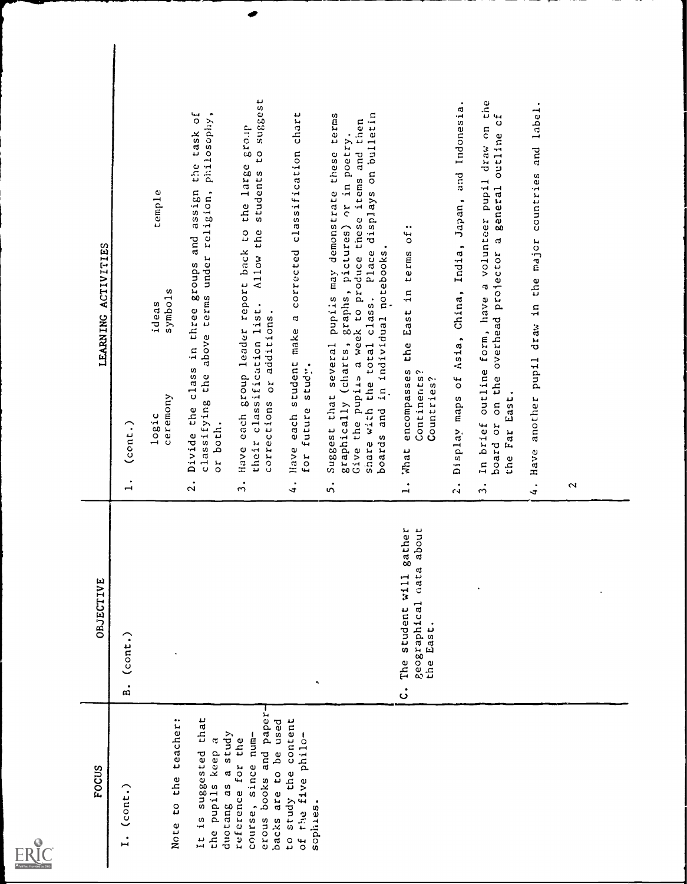|  | Full Text Provided by ERIC |  |
|--|----------------------------|--|

| ACTIVITIES<br>LEARNING | $_{(cont.)}$<br>$\rightarrow$       | temple<br>symbols<br>ideas<br>ceremony<br>logic | task of<br>philosophy,<br>the<br>assign<br>classifying the above terms under religion,<br>and<br><b>Stonps</b><br>three<br>Divide the class in<br>or both.<br>$\ddot{\Omega}$ | asagguas<br>aro.ib<br>$\overline{\mathfrak{c}}$<br>the large<br>students<br>Have each group leader report back to<br>Allow the<br>their classification list.<br>corrections or additions.<br>$\ddot{ }$ | corrected classification chart<br>Have each student make a<br>study.<br>for future<br>$\ddot{4}$ . | displays on bulletin<br>terms<br>Give the pupiis a week to produce these items and then<br>graphs, pictures) or in poetry.<br>pupiis may demonstrate these<br>in individual notebooks.<br>share with the total class. Place<br>graphically (charts,<br>Suggest that several<br>boards and<br>$\ddot{\mathbf{v}}$ | $\ddot{\phantom{0}}$<br>$\sigma$<br>East in terms<br>the<br>encompasses<br>Continents?<br>Countries?<br>What.<br>$\mathbf{1}$ . | Display maps of Asia, China, India, Japan, and Indonesia.<br>$\ddot{\Omega}$ | In brief outline form, have a volunteer pupil draw on the<br>t<br>Cf<br>general outline<br>on the overhead projector a<br>the Far East.<br>board or<br>$\dot{ }$ | label.<br>and<br>the major countries<br>another pupil draw in<br>Have<br>$\ddot{4}$ . | $\mathbf{\Omega}$ |  |
|------------------------|-------------------------------------|-------------------------------------------------|-------------------------------------------------------------------------------------------------------------------------------------------------------------------------------|---------------------------------------------------------------------------------------------------------------------------------------------------------------------------------------------------------|----------------------------------------------------------------------------------------------------|------------------------------------------------------------------------------------------------------------------------------------------------------------------------------------------------------------------------------------------------------------------------------------------------------------------|---------------------------------------------------------------------------------------------------------------------------------|------------------------------------------------------------------------------|------------------------------------------------------------------------------------------------------------------------------------------------------------------|---------------------------------------------------------------------------------------|-------------------|--|
| OBJECTIVE              | (const.)<br>$\ddot{a}$              |                                                 |                                                                                                                                                                               |                                                                                                                                                                                                         |                                                                                                    |                                                                                                                                                                                                                                                                                                                  | gather<br>about<br>nata<br>The student will<br>geographical<br>the East.<br>.<br>ပ                                              |                                                                              |                                                                                                                                                                  |                                                                                       |                   |  |
| <b>FOCUS</b>           | $_{(\text{cont.})}$<br>$\mathbf{r}$ | teacher:<br>Note to the                         | that<br>duotang as a study<br>$\tilde{c}$<br>the pupils keep<br>It is suggested                                                                                               | erous books and paper-<br>backs are to be used<br>course, since num-<br>reference for the                                                                                                               | study the content<br>of the five philo-<br>sophies.<br>ပ္ပ                                         |                                                                                                                                                                                                                                                                                                                  |                                                                                                                                 |                                                                              |                                                                                                                                                                  |                                                                                       |                   |  |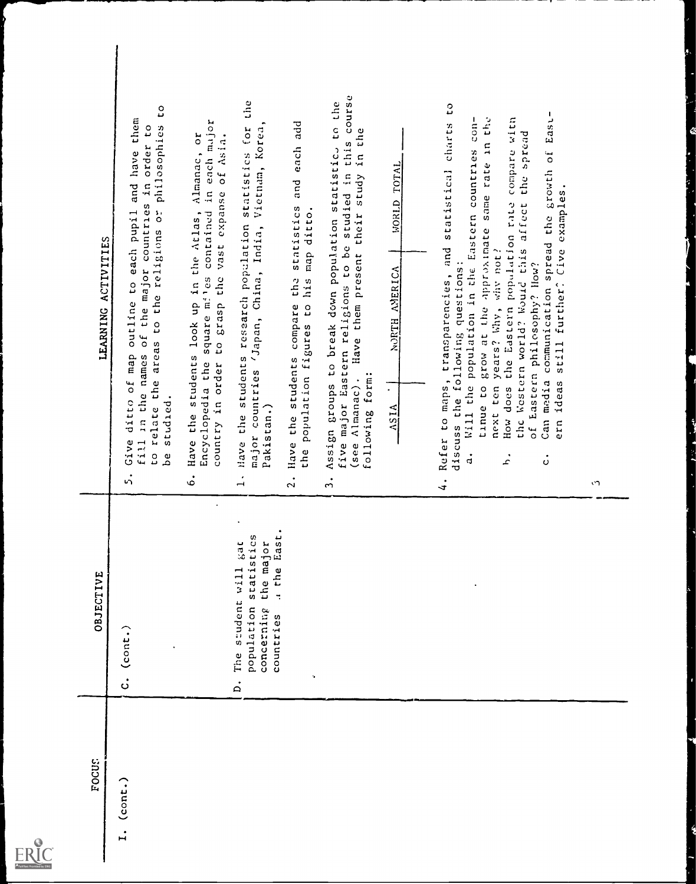

| LEARNING ACTIVITIES | CO<br>and have them<br>to relate the areas to the religions or philosophies<br>٥,<br>order<br>fill in the names of the major countries in<br>Give ditto of map outline to each pupil<br>studied.<br>ತಿ | the<br>contained in each major<br>statistics for<br>Have the students look up in the Atlas, Almanac, or<br>of Asia.<br>the vast expanse<br>Have the students research population<br>square miles<br>grasp<br>$\mathfrak{c}$<br>Encyclopedia the<br>country in order | Vietnam, Korea,<br>add<br>and each<br>statistics<br>map ditto.<br>'Japan, China, India,<br>students compare the<br>his<br>population figures to<br>major countries<br>Pakistan.)<br>Have the<br>the | five major Eastern religions to be studied in this course<br>Assign groups to break down population statistics to the<br>in the<br>study<br>(see Almanac). Have them present their<br>following form: | WORLD TOTAL<br>NORTH ANERICA<br>$\ddot{\phantom{0}}$<br>ASIA | CO<br>East-<br>che)<br>compare with<br>$\frac{1}{2}$<br>charts<br>the spread<br>rate in<br>Will the population in the Eastern countries<br>Can media communication spread the growth of<br>statistical<br>still further? Cive examples<br>grow at the approximate same<br>the Eastern population rate<br>the Western world? Would this affect<br>and<br>years? Why, why not?<br>discuss the following questions:<br>of Eastern philosophy? How?<br>Refer to maps, transparencies,<br>ideas<br>next ten<br>tinue to<br>does<br>How<br>ern<br>.<br>J<br>$\mathbf{r}$<br>ن |   |
|---------------------|--------------------------------------------------------------------------------------------------------------------------------------------------------------------------------------------------------|---------------------------------------------------------------------------------------------------------------------------------------------------------------------------------------------------------------------------------------------------------------------|-----------------------------------------------------------------------------------------------------------------------------------------------------------------------------------------------------|-------------------------------------------------------------------------------------------------------------------------------------------------------------------------------------------------------|--------------------------------------------------------------|-------------------------------------------------------------------------------------------------------------------------------------------------------------------------------------------------------------------------------------------------------------------------------------------------------------------------------------------------------------------------------------------------------------------------------------------------------------------------------------------------------------------------------------------------------------------------|---|
| <b>OBJECTIVE</b>    | ທ່<br>$_{\rm (conf.)}$<br>ပ                                                                                                                                                                            | .<br>ف<br>$\overline{\phantom{0}}$<br>tics<br>gat<br>statis<br>The student will<br>population<br>$\dot{\Omega}$                                                                                                                                                     | $\ddot{\Omega}$<br>East.<br>jor<br>the ma<br>i the<br>concerning<br>countries                                                                                                                       | $\ddot{ }$                                                                                                                                                                                            |                                                              | $\ddot{ }$                                                                                                                                                                                                                                                                                                                                                                                                                                                                                                                                                              | M |
| <b>FOCUS</b>        | I. (cont.)                                                                                                                                                                                             |                                                                                                                                                                                                                                                                     |                                                                                                                                                                                                     |                                                                                                                                                                                                       |                                                              |                                                                                                                                                                                                                                                                                                                                                                                                                                                                                                                                                                         |   |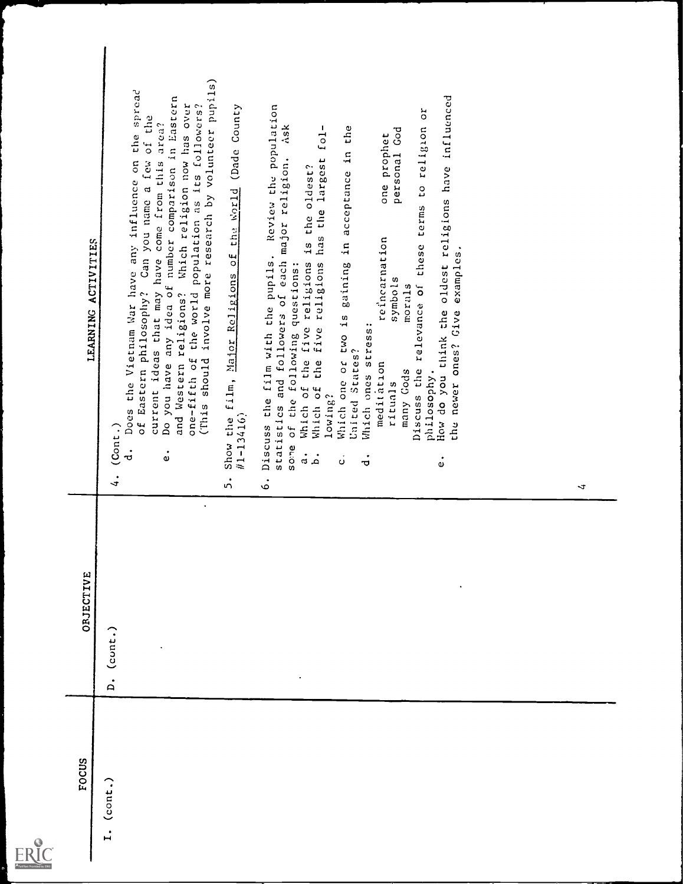

| LEARNING ACTIVITIES | involve more research by volunteer pupils)<br>spread<br>Do you have any idea of number comparison in Eastern<br>and Western religions? Which religion now has over<br>the world population as its followers?<br>the World (Dade County<br>of Eastern philosophy? Can you name a few of the<br>current ideas that may have come from this area?<br>the<br>Does the Vietnam War have any influence on<br>Show the film, Major Religions of<br>one-fifth of<br>(This should<br>$#1 - 13416$<br>$($ Cont $\ldots)$<br>.<br>უ<br>$\dot{\cdot}$<br>ໍ່<br>₹ | How do you think the oldest religions have influenced<br>Review the population<br>č<br>religion<br>ysy<br>$f$ ol-<br>the<br>God<br>one prophet<br>gaining in acceptance in<br>personal<br>has the largest<br>each major religion.<br>is the oldest?<br>terms to<br>reincarnation<br>these<br>examples.<br>Discuss the film with the pupils.<br>five religions<br>Which of the five religions<br>of the following questions:<br>symbols<br>relevance of<br>morals<br>statistics and followers of<br>Give<br>Which one or two is<br>Which ones stress:<br>ones?<br>United States?<br>the<br>meditation<br>Discuss the<br>many Gods<br>philosophy.<br>newer<br>rituals<br>Which of<br>lowing?<br>the<br>some<br>$\ddot{a}$<br>.<br>م<br>ó<br>$\dot{\vec{c}}$<br>$\dot{\circ}$<br>$\dot{\circ}$ | マ |
|---------------------|------------------------------------------------------------------------------------------------------------------------------------------------------------------------------------------------------------------------------------------------------------------------------------------------------------------------------------------------------------------------------------------------------------------------------------------------------------------------------------------------------------------------------------------------------|---------------------------------------------------------------------------------------------------------------------------------------------------------------------------------------------------------------------------------------------------------------------------------------------------------------------------------------------------------------------------------------------------------------------------------------------------------------------------------------------------------------------------------------------------------------------------------------------------------------------------------------------------------------------------------------------------------------------------------------------------------------------------------------------|---|
| ORJECTIVE           | $_{(cont.)}$<br>$\dot{a}$                                                                                                                                                                                                                                                                                                                                                                                                                                                                                                                            |                                                                                                                                                                                                                                                                                                                                                                                                                                                                                                                                                                                                                                                                                                                                                                                             |   |
| FOCUS               | $_{(cont.)}$<br>$\mathbf{I}$ .                                                                                                                                                                                                                                                                                                                                                                                                                                                                                                                       |                                                                                                                                                                                                                                                                                                                                                                                                                                                                                                                                                                                                                                                                                                                                                                                             |   |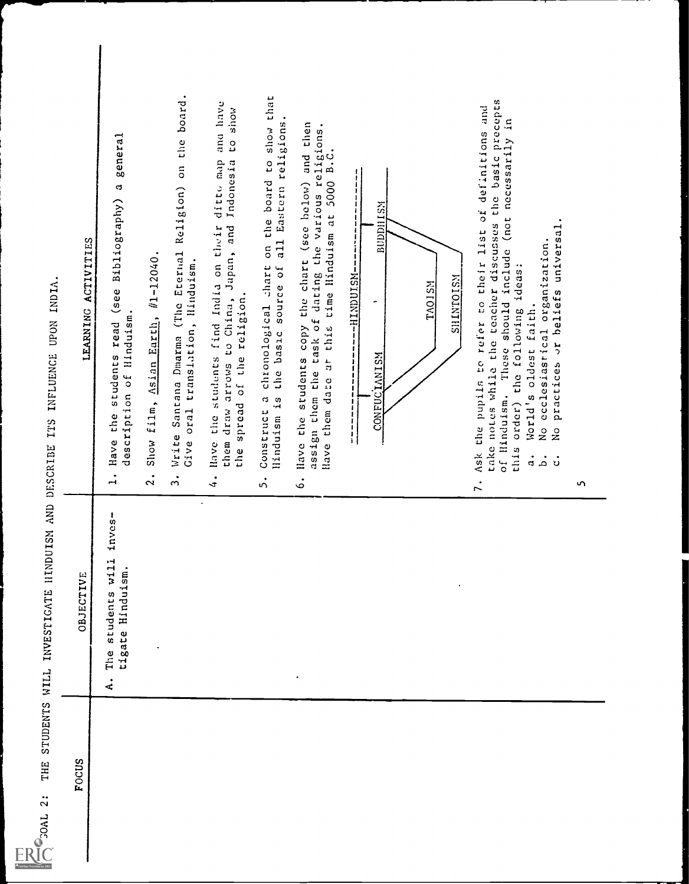

# FORD 2: THE STUDENTS WILL INVESTIGATE HINDUISM AND DESCRIBE ITS INFLUENCE UPON INDIA.

| LEARNING ACTIVITIES | a general<br>Bibliography)<br>students read (see<br>description of Hinduism.<br>Have the<br>$\dot{1}$ | Show film, Asian Earth, #1-12040.<br>$\ddot{\Omega}$ | Write Santana Dmarma (The Eternal Religion) on the board.<br>Cive oral translation, Hinduism.<br>$\ddot{ }$ | and have<br>to show<br>ditto map<br>Indonesia<br>Have the students find India on their<br>draw arrows to China, Japan, and<br>spread of the religion.<br>them<br>the<br>$\ddot{ }$ | show that<br>lituduism is the basic source of all Eastern religions.<br>Construct a chronological chart on the board to<br>ໍ່ | Have the students copy the chart (see below) and then<br>assign them the task of dating the various religions.<br>Have them date at this time Hinduism at 5000 B.C.<br>.<br>ف | $\begin{bmatrix} 1 & 1 & 1 \\ 1 & 1 & 1 \\ 1 & 1 & 1 \end{bmatrix}$ | <b>BUDDHISM</b><br>$\overline{\phantom{a}}$<br><b>CONFUCIANISM</b> | SHINTOISM<br><b>TAOISM</b> | take notes while the teacher discusses the basic precepts<br>Ask the pupils to refer to their list of definitions and<br>of Hinduism. These should include (not necessarily in<br>ideas:<br>order) the following<br>this<br>7. | practices or beliefs universal.<br>No ecclesiastical organization.<br>World's oldest faith.<br>$\frac{1}{2}$<br>$\ddot{a}$<br>.<br>م<br>$\dot{\mathbf{c}}$ | <b>in</b> |  |  |
|---------------------|-------------------------------------------------------------------------------------------------------|------------------------------------------------------|-------------------------------------------------------------------------------------------------------------|------------------------------------------------------------------------------------------------------------------------------------------------------------------------------------|-------------------------------------------------------------------------------------------------------------------------------|-------------------------------------------------------------------------------------------------------------------------------------------------------------------------------|---------------------------------------------------------------------|--------------------------------------------------------------------|----------------------------|--------------------------------------------------------------------------------------------------------------------------------------------------------------------------------------------------------------------------------|------------------------------------------------------------------------------------------------------------------------------------------------------------|-----------|--|--|
| OBJECTIVE           | inves-<br>w111<br>tigate Hinduism.<br>students<br>The<br>$\ddot{\mathbf{A}}$ .                        |                                                      |                                                                                                             | $\blacksquare$                                                                                                                                                                     |                                                                                                                               |                                                                                                                                                                               |                                                                     |                                                                    |                            |                                                                                                                                                                                                                                |                                                                                                                                                            |           |  |  |
| <b>FOCUS</b>        |                                                                                                       |                                                      |                                                                                                             |                                                                                                                                                                                    |                                                                                                                               |                                                                                                                                                                               |                                                                     |                                                                    |                            |                                                                                                                                                                                                                                |                                                                                                                                                            |           |  |  |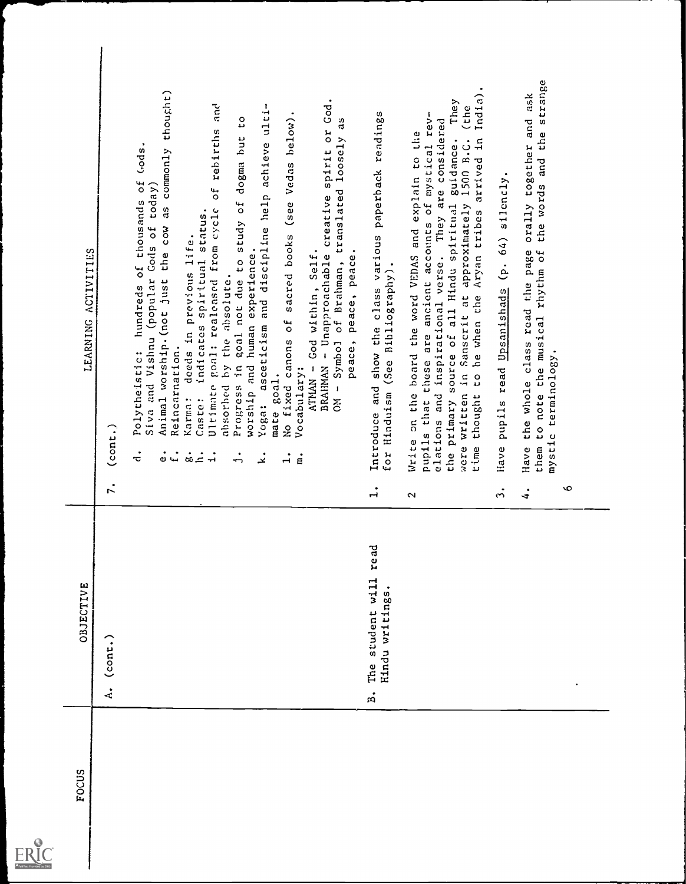| Full Text Provided by ERIC |  |
|----------------------------|--|

| ACTIVITIES<br>LEARNING | $_{(cont.)}$   | thought)<br>$\bullet$<br>and<br>creative spirit or God<br>$\mathbf{I}$<br>achieve ulti<br>$below$ .<br>$\frac{1}{2}$<br>ä<br>of rebirths<br>dogma but<br>translated loosely<br>Gods.<br>as commonly<br>sacred books (see Vedas<br>hundreds of thousands of<br>today)<br>asceticism and discipline help<br>goal not due to study of<br>Ultimate goal: realeased from cycle<br>spirttual status.<br>Siva and Vishnu (popular Gods of<br>cow<br>Karma: deeds in previous life.<br>Caste: indicates spiritual sta<br>worship and human experience.<br>God within, Self.<br>peace, peace, peace.<br>the<br>BRAHMAN - Unapproachable<br>OM - Symbol of Brahman,<br>absorbed by the absolute.<br>just<br>Animal worship. (not<br>No fixed canons of<br>Reincarnation.<br>Polytheistic:<br>$\bar{1}$<br>Progress in<br>Vocabulary:<br>goal.<br><b>ATMAN</b><br>$Y$ oga:<br>mate<br>$\dot{\tau}$<br>$\dot{0}$ in<br>$\dot{a}$ $\dot{c}$<br>$\div$<br>$\div$<br>.<br>بحہ<br>$\dot{a}$<br>$\dot{\epsilon}$ | show the class various paperback readings<br>Hinduism (See Bibliography).<br>and<br>Introduce<br>Ior | Ind(a)<br>They<br>(the<br>pupils that these are ancient accounts of mystical rev-<br>considered<br>on the board the word VEDAS and explain to the<br>arrived in<br>the primary source of all Hindu spiritual guidance.<br>were written in Sanscrit at approximately 1500 B.C.<br>They are<br>be when the Aryan tribes<br>elations and inspirational verse.<br>$\mathfrak{c}$<br>thought<br>Write<br>time | silencly.<br>64)<br>Upsanishads (p.<br>read<br>pupils<br>Have | strange<br>ask<br>orally together and<br>and the<br>the words<br>to note the musical rhythm of<br>Have the whole class read the page<br>terminology.<br>mystic<br>them |   |  |
|------------------------|----------------|-------------------------------------------------------------------------------------------------------------------------------------------------------------------------------------------------------------------------------------------------------------------------------------------------------------------------------------------------------------------------------------------------------------------------------------------------------------------------------------------------------------------------------------------------------------------------------------------------------------------------------------------------------------------------------------------------------------------------------------------------------------------------------------------------------------------------------------------------------------------------------------------------------------------------------------------------------------------------------------------------|------------------------------------------------------------------------------------------------------|----------------------------------------------------------------------------------------------------------------------------------------------------------------------------------------------------------------------------------------------------------------------------------------------------------------------------------------------------------------------------------------------------------|---------------------------------------------------------------|------------------------------------------------------------------------------------------------------------------------------------------------------------------------|---|--|
|                        | $\ddot{\cdot}$ |                                                                                                                                                                                                                                                                                                                                                                                                                                                                                                                                                                                                                                                                                                                                                                                                                                                                                                                                                                                                 | $\dot{ }$                                                                                            | $\sim$                                                                                                                                                                                                                                                                                                                                                                                                   | $\dot{5}$                                                     | $\ddot{ }$                                                                                                                                                             | O |  |
| OBJECTIVE              | A. (cont.)     |                                                                                                                                                                                                                                                                                                                                                                                                                                                                                                                                                                                                                                                                                                                                                                                                                                                                                                                                                                                                 | read<br>The student will<br>Hindu writings.<br>в.                                                    |                                                                                                                                                                                                                                                                                                                                                                                                          |                                                               |                                                                                                                                                                        |   |  |
| FOCUS                  |                |                                                                                                                                                                                                                                                                                                                                                                                                                                                                                                                                                                                                                                                                                                                                                                                                                                                                                                                                                                                                 |                                                                                                      |                                                                                                                                                                                                                                                                                                                                                                                                          |                                                               |                                                                                                                                                                        |   |  |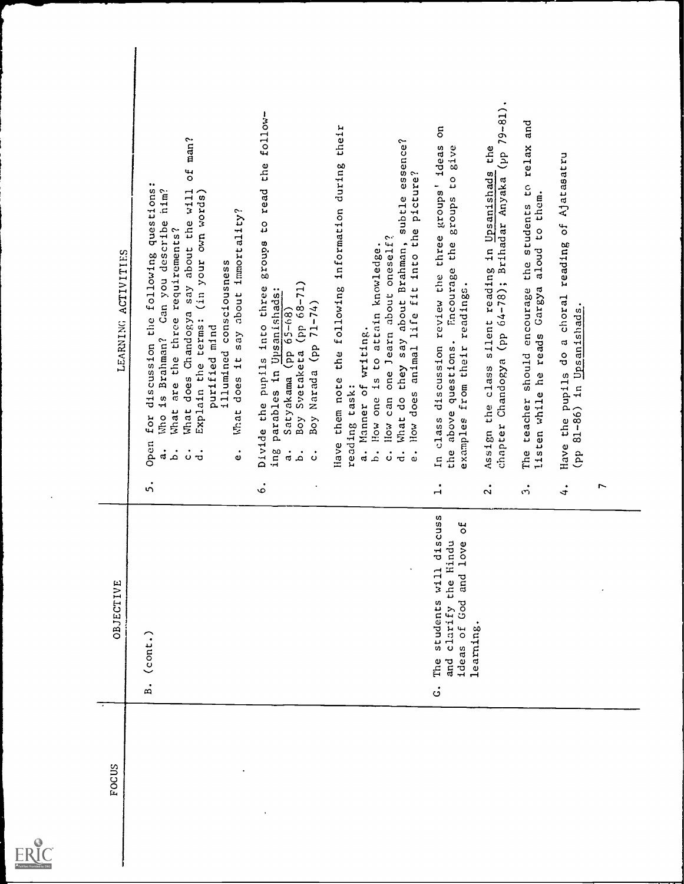| Full Text Provided by ERIC |
|----------------------------|

 $\mathcal{L}_{\text{max}}$  and  $\mathcal{L}_{\text{max}}$ 

| LEARNING ACTIVITIES | man?<br>of<br>for discussion the following questions:<br>say about the will<br>Explain the terms: (in your own words)<br>is Brahman? Can you describe him?<br>say about immortality?<br>are the three requirements?<br>illumined consciousness<br>What does Chandogya<br>purified mind<br>$\frac{1}{1}$<br>does<br>What<br>What<br>idh o<br>Open<br>$\ddot{a}$<br>.<br>م<br>$\dot{\circ}$<br>$\dot{\bm{\omega}}$<br>$\dot{a}$<br>$\dot{\mathbf{v}}$ | follow-<br>to read the<br>ganozg<br>Boy Svetaketa (pp 68-71)<br>Divide the pupils into three<br>parables in Upsanishads:<br>Boy Narada (pp 71-74)<br>Satyakama (pp 65-68)<br>ins<br>.<br>J<br>.<br>م<br>$\ddot{\circ}$<br>.<br>م | the following information during their<br>What do they say about Brahman, subtle essence?<br>How does animal life fit into the picture?<br>How can one Jearn about oneself?<br>How one is to attain knowledge.<br>Manner of writing.<br>Have them note<br>reading task:<br><br>đ<br>$\mathbf{a}$<br>$\ddot{\circ}$<br>$\dot{\vec{c}}$<br>$\ddot{\omega}$ | $\overline{5}$<br>In class discussion review the three groups' ideas<br>groups to give<br>the above questions. Encourage the<br>examples from their readings.<br>$\dot{1}$ | chapter Chandogya (pp 64-78); Brihadar Anyaka (pp 79-81).<br>the<br>Assign the class silent reading in Upsanishads<br>$\ddot{\Omega}$ | The teacher should encourage the students to relax and<br>aloud to them.<br>listen while he reads Gargya<br>$\mathbf{r}$ | Ajatasatru<br>5 <sup>o</sup><br>Have the pupils do a choral reading<br>(pp 81-86) in Upsanishads.<br>$\ddot{ }$ | r |
|---------------------|-----------------------------------------------------------------------------------------------------------------------------------------------------------------------------------------------------------------------------------------------------------------------------------------------------------------------------------------------------------------------------------------------------------------------------------------------------|----------------------------------------------------------------------------------------------------------------------------------------------------------------------------------------------------------------------------------|----------------------------------------------------------------------------------------------------------------------------------------------------------------------------------------------------------------------------------------------------------------------------------------------------------------------------------------------------------|----------------------------------------------------------------------------------------------------------------------------------------------------------------------------|---------------------------------------------------------------------------------------------------------------------------------------|--------------------------------------------------------------------------------------------------------------------------|-----------------------------------------------------------------------------------------------------------------|---|
| OBJECTIVE           | $_{(cont.)}$<br>$\mathbf{B}$ .                                                                                                                                                                                                                                                                                                                                                                                                                      |                                                                                                                                                                                                                                  |                                                                                                                                                                                                                                                                                                                                                          | iscuss<br><b>of</b><br>and love<br>and clarify the Hindu<br>Ρ<br>students will<br>ideas of God<br>learning.<br>The<br>.<br>ت                                               |                                                                                                                                       |                                                                                                                          |                                                                                                                 |   |
| <b>FOCUS</b>        |                                                                                                                                                                                                                                                                                                                                                                                                                                                     |                                                                                                                                                                                                                                  |                                                                                                                                                                                                                                                                                                                                                          |                                                                                                                                                                            |                                                                                                                                       |                                                                                                                          |                                                                                                                 |   |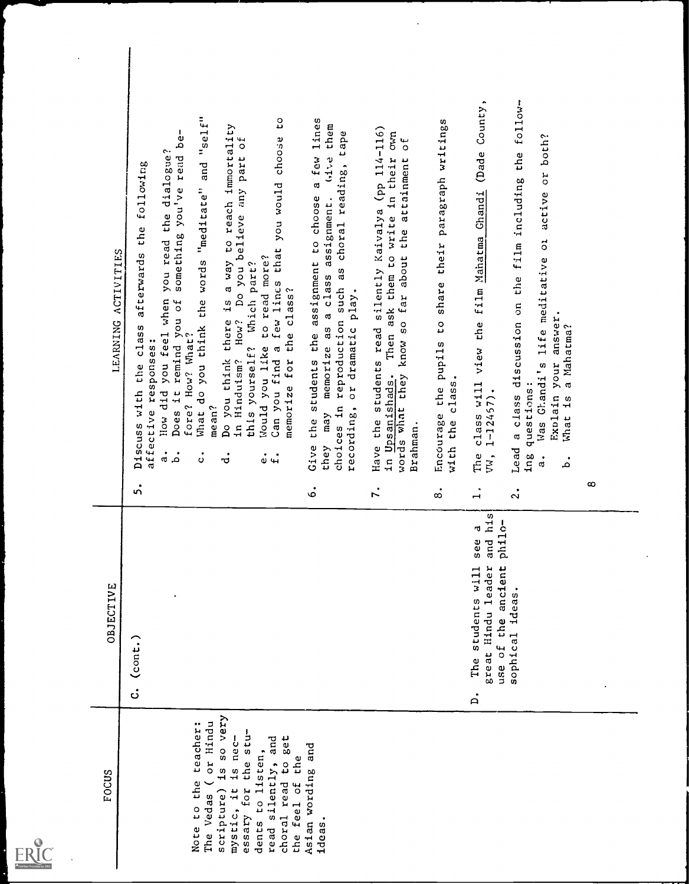| Full Text Provided by ERIC |
|----------------------------|

 $\sim 10^{-1}$ 

| LEARNING ACTIVITIES | "self"<br>CO<br>Do you think there is a way to reach immortality<br>read be-<br>$\overline{\mathfrak{c}}$<br>choose<br>the dialogue?<br>How? Do you believe any part<br>and<br>following<br>Can you find a few lines that you would<br>something you've<br>do you think the words "meditate"<br>afterwards the<br>How did you feel when you read<br>Would you like to read more?<br>this yourself? Which part?<br>the class?<br>remind you of<br>class<br>fore? How? What?<br>affective responses:<br>memorize for<br>in Hinduism?<br>the<br>$\mathbf{i}$<br>Discuss with<br>me an?<br>Does<br>What<br>$\ddot{a}$<br>.<br>م<br>$\ddot{\circ}$<br>$\dot{\sigma}$<br>ு ப<br>ທ່ | assignment to choose a few lines<br>them<br>tape<br>64<br>choices in reproduction such as choral reading,<br>may memorize as a class assignment.<br>or dramatic play.<br>the students the<br>recording,<br>they<br>Give<br>ة | students read silently Kaivalya (pp 114-116)<br>$\tilde{\epsilon}$<br>$\sigma$<br>Then ask them to write in their<br>words what they know so far about the attainment<br>in Upsanishads.<br>Have the<br>Brahman. | paragraph writings<br>share their<br>Encourage the pupils to<br>with the class. | County,<br>(Dade<br>Chandi<br>film Mahatma<br>class will view the<br>$1 - 12457$ .<br>The<br>vw,                                                                | follow-<br>both?<br>film including the<br>active or<br>Was Ghandi's life meditative or<br>a class discussion on the<br>answer.<br>a Mahatma?<br>Explain your<br>questions:<br>$\frac{15}{1}$<br>What<br>Lead<br>$_{\rm{ing}}$<br>$\ddot{a}$<br>.<br>م | $\infty$ |
|---------------------|------------------------------------------------------------------------------------------------------------------------------------------------------------------------------------------------------------------------------------------------------------------------------------------------------------------------------------------------------------------------------------------------------------------------------------------------------------------------------------------------------------------------------------------------------------------------------------------------------------------------------------------------------------------------------|------------------------------------------------------------------------------------------------------------------------------------------------------------------------------------------------------------------------------|------------------------------------------------------------------------------------------------------------------------------------------------------------------------------------------------------------------|---------------------------------------------------------------------------------|-----------------------------------------------------------------------------------------------------------------------------------------------------------------|-------------------------------------------------------------------------------------------------------------------------------------------------------------------------------------------------------------------------------------------------------|----------|
| OBJECTIVE           | $_{(cont.)}$<br>ပ                                                                                                                                                                                                                                                                                                                                                                                                                                                                                                                                                                                                                                                            |                                                                                                                                                                                                                              | r.                                                                                                                                                                                                               | $\dot{\infty}$                                                                  | $\vec{r}$<br>and his<br>philo-<br>J<br>see<br>great Hindu leader<br>ancient<br>$\overline{\phantom{0}}$<br>The students wil<br>use of the<br>$\dot{\mathsf{n}}$ | $\ddot{\Omega}$<br>sophical ideas.                                                                                                                                                                                                                    |          |
| <b>FOCUS</b>        | scripture) is so very<br>or Hindu<br>teacher:<br>stu-<br>is nec-<br><b>Bet</b><br>and<br>dents to listen,<br>the<br>the<br>read silently,<br>choral read to<br>Note to the<br>the feel of<br>essary for<br>mystic, it<br>The Vedas                                                                                                                                                                                                                                                                                                                                                                                                                                           | and<br>Asian wording<br>ideas.                                                                                                                                                                                               |                                                                                                                                                                                                                  |                                                                                 |                                                                                                                                                                 |                                                                                                                                                                                                                                                       |          |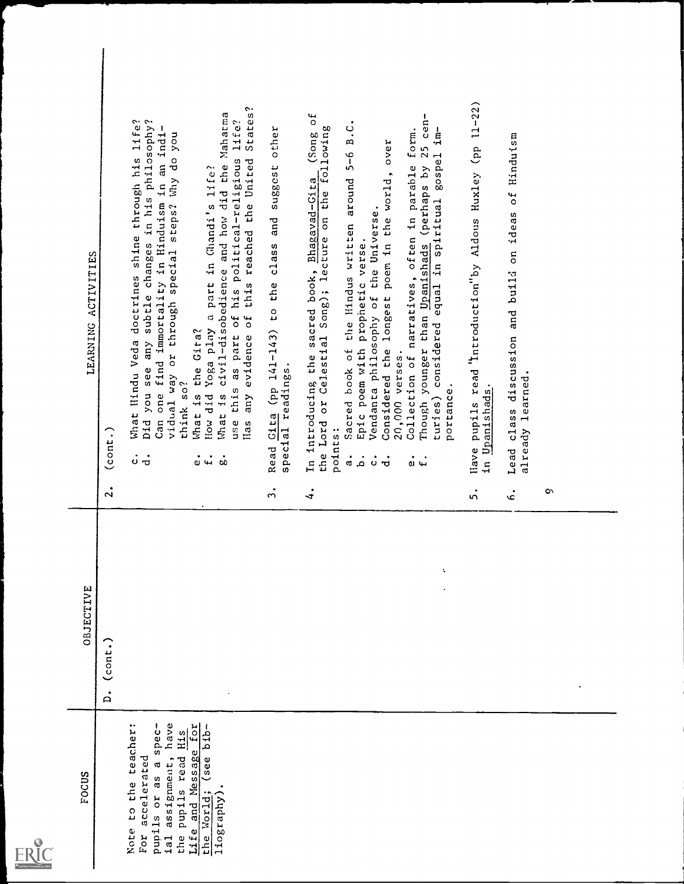

| <b>ACTIVITIES</b><br>LEARNING | $_{(cont.)}$<br>$\ddot{\Omega}$ | States?<br>civil-disobedience and how did the Mahatma<br>subtle changes in his philosophy?<br>of his political-religious life?<br>What Hindu Veda doctrines shine through his life?<br>Can one find immortality in Hinduism in an indi-<br>vidual way or through special steps? Why do you<br>this reached the United<br>Yoga play a part in Ghandi's life?<br>$\sigma$<br>the Gira?<br>any evidence<br>part<br>any<br>Did you see<br>as<br>think so?<br>use this<br>What is<br>llow did<br>What is<br>Ilas<br>ပ<br>$\dot{a}$<br>$\mathbf{u}^{\bullet}$<br>$\dot{8}$ | other<br>suggest<br>and<br>Read Gita (pp 141-143) to the class<br>special readings.<br>$\ddot{ }$ | $\overline{\mathfrak{c}}$<br>B.C.<br>Song); lecture on the following<br>(Song)<br>over<br>$5 - 6$<br>longest poem in the world,<br>Sacred book of the Hindus written around<br>--- ------------------- the sacred book, Bhagavad-Gita<br>the Lord or Celestial Song): lecture of the<br>Vendanta philosophy of the Universe.<br>Epic poem with prophetic verse.<br>Considered the<br>20,000 verses.<br>points:<br>$\ddot{a}$<br>$\ddot{\circ}$<br>.<br>م<br>$\dot{a}$<br>$\ddot{ }$ | Collection of narratives, often in parable form.<br>Though younger than Upanishads (perhaps by 25 cen-<br>turies) considered equal in spiritual gospel im-<br>portance.<br>$\ddot{\theta}$ + | $(pp 11-22)$<br>Have pupils read 'Introduction" by Aldous Huxley<br>in Upanishads.<br>ທ່ | of Hinduism<br>ideas<br>Lead class discussion and build on<br>already learned.<br>.<br>پ | ò |  |
|-------------------------------|---------------------------------|----------------------------------------------------------------------------------------------------------------------------------------------------------------------------------------------------------------------------------------------------------------------------------------------------------------------------------------------------------------------------------------------------------------------------------------------------------------------------------------------------------------------------------------------------------------------|---------------------------------------------------------------------------------------------------|-------------------------------------------------------------------------------------------------------------------------------------------------------------------------------------------------------------------------------------------------------------------------------------------------------------------------------------------------------------------------------------------------------------------------------------------------------------------------------------|----------------------------------------------------------------------------------------------------------------------------------------------------------------------------------------------|------------------------------------------------------------------------------------------|------------------------------------------------------------------------------------------|---|--|
| OBJECTIVE                     | $_{\rm{conv.}}$<br>$\dot{a}$    |                                                                                                                                                                                                                                                                                                                                                                                                                                                                                                                                                                      |                                                                                                   |                                                                                                                                                                                                                                                                                                                                                                                                                                                                                     | ÷,                                                                                                                                                                                           |                                                                                          |                                                                                          |   |  |
| EOCUS                         |                                 | ial assignment, have<br>Note to the teacher:<br>$spec-$<br>Life and Message for<br>$(see b1b-$<br>H1s<br>the pupils read<br>accelerated<br>$\mathfrak{a}$<br>as<br>the World;<br>pupils or<br>liography)<br>For                                                                                                                                                                                                                                                                                                                                                      |                                                                                                   |                                                                                                                                                                                                                                                                                                                                                                                                                                                                                     |                                                                                                                                                                                              |                                                                                          |                                                                                          |   |  |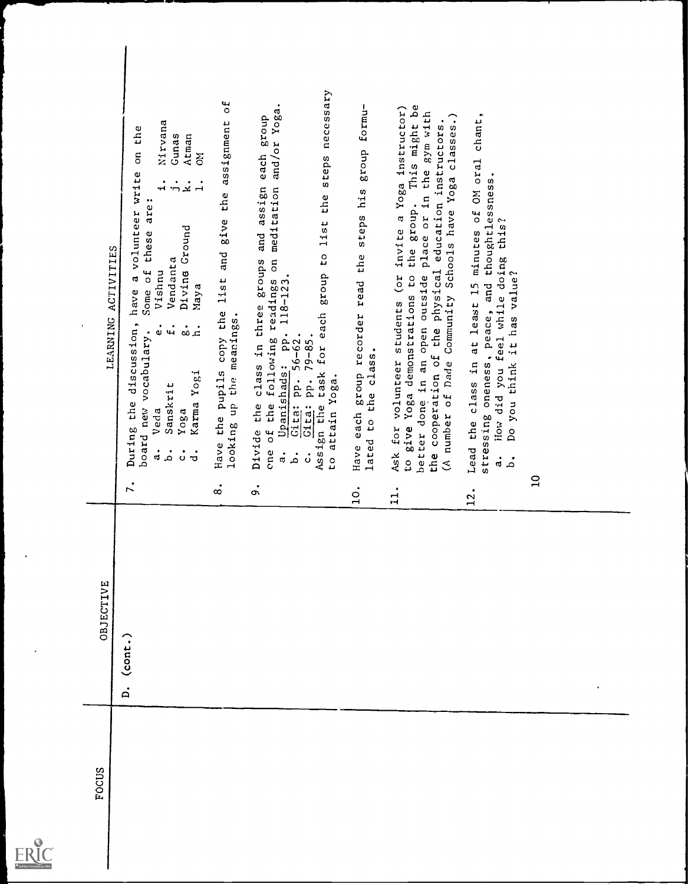| Full Text Provided by ERIC |  |
|----------------------------|--|

| LEARNING     | Nirvana<br>the<br>Gunas<br>Atman<br>$\overline{5}$<br>δ<br>have a volunteer write<br>$\div$<br>$\div \div$<br>$\mathbf{I}$<br>these are:<br>Divine Ground<br>ACTIVITIES<br>Vendanta<br>Some of<br>Vishnu<br>Maya<br>discussion,<br>$\ddot{\mathbf{u}}$<br>$\ddot{\text{o}}$<br>$\dot{\rm o}$<br>.<br>تم<br>new vocabulary.<br>Yogi<br>Sanskrit<br>During the<br>Karma<br>Veda<br>Yoga<br>board<br>.<br>م<br>$\dot{a}$<br>$\dot{\circ}$<br>$\dot{a}$<br>r. | ЪÓ<br>assignment<br>the<br>list and give<br>the<br>looking up the meanings.<br>copy<br>Have the pupils<br>$\dot{\infty}$ | necessary<br>and/or Yoga.<br>each group<br>steps<br>meditation<br>assign<br>the<br>Assign the task for each group to list<br>and<br>$\mathfrak{a}$<br><b>Stoups</b><br>following readings<br>shads: pp. 118-123.<br>Divide the class in three<br>Gita: pp. 56-62.<br>Gita: pp. 79-85.<br>Upanishads:<br>attain Yoga.<br>of the<br>cne<br>$\ddot{a}$<br>.<br>م<br>$\dot{\circ}$<br>$\frac{0}{1}$<br>$\dot{\circ}$ | formu-<br>dnozg<br>steps his<br>the<br>Have each group recorder read<br>lated to the class.<br>$\overline{a}$ | This might be<br>Ask for volunteer students (or invite a Yoga instructor)<br>better done in an open outside place or in the gym with<br>number of Dade Community Schools have Yoga classes.)<br>cooperation of the physical education instructors.<br>group.<br>the<br>demonstrations to<br>give Yoga<br>the<br>S<br>٥.<br>$\frac{1}{11}$ | chant,<br>Lead the class in at least 15 minutes of OM oral<br>stressing oneness, peace, and thoughtlessness.<br>did you feel while doing this?<br>Do you think it has value?<br>How<br>.<br>J<br><b>.</b><br>م<br>12. | $\Xi$ |
|--------------|-----------------------------------------------------------------------------------------------------------------------------------------------------------------------------------------------------------------------------------------------------------------------------------------------------------------------------------------------------------------------------------------------------------------------------------------------------------|--------------------------------------------------------------------------------------------------------------------------|------------------------------------------------------------------------------------------------------------------------------------------------------------------------------------------------------------------------------------------------------------------------------------------------------------------------------------------------------------------------------------------------------------------|---------------------------------------------------------------------------------------------------------------|-------------------------------------------------------------------------------------------------------------------------------------------------------------------------------------------------------------------------------------------------------------------------------------------------------------------------------------------|-----------------------------------------------------------------------------------------------------------------------------------------------------------------------------------------------------------------------|-------|
| OBJECTIVE    | $_{(cont.)}$<br>$\overline{a}$                                                                                                                                                                                                                                                                                                                                                                                                                            |                                                                                                                          |                                                                                                                                                                                                                                                                                                                                                                                                                  |                                                                                                               |                                                                                                                                                                                                                                                                                                                                           |                                                                                                                                                                                                                       |       |
| <b>FOCUS</b> |                                                                                                                                                                                                                                                                                                                                                                                                                                                           |                                                                                                                          |                                                                                                                                                                                                                                                                                                                                                                                                                  |                                                                                                               |                                                                                                                                                                                                                                                                                                                                           |                                                                                                                                                                                                                       |       |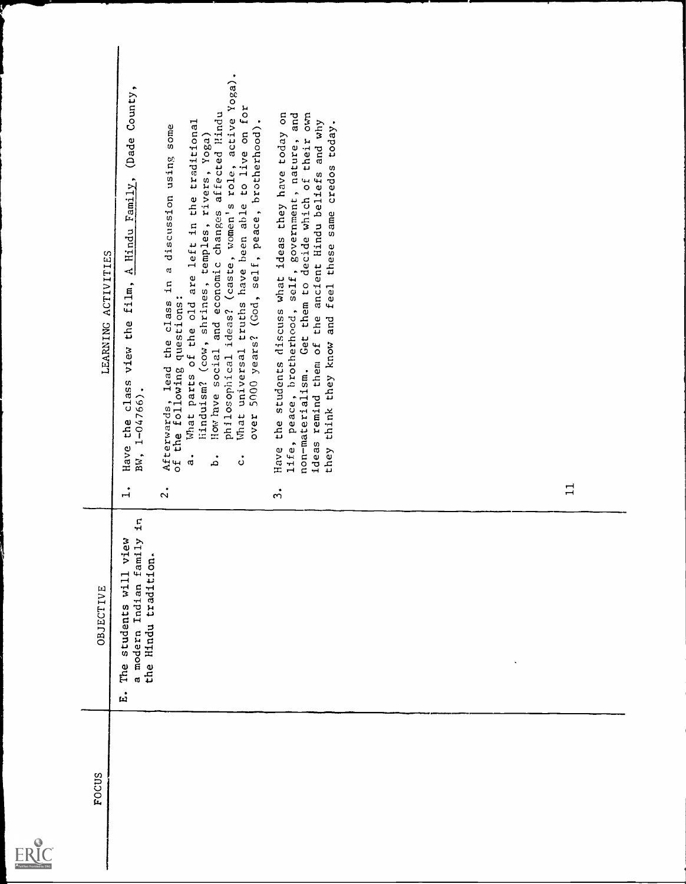| Full Text Provided by ERIC |
|----------------------------|

| LEARNING ACTIVITIES | class view the film, A Hindu Family, (Dade County,<br>BW, 1-04766).<br>Have the<br>$\dot{1}$                                 | philosophical ideas? (caste, women's role, active Yoga).<br>for<br>and economic changes affected Hindu<br>of the old are left in the traditional<br>What universal truths have been able to live on f<br>over 5000 years? (God, self, peace, brotherhood).<br>some<br>Hinduism? (cow, shrines, temples, rivers, Yoga)<br>Afterwards, lead the class in a discussion using<br>of the following questions:<br>How have social<br>What parts<br>$\dot{a}$<br>.<br>م<br>$\ddot{\circ}$<br>$\ddot{\Omega}$ | non-materialism. Get them to decide which of their own<br>Have the students discuss what ideas they have today on<br>and<br>ideas remind them of the ancient Hindu beliefs and why<br>they think they know and feel these same credos today.<br>life, peace, brotherhood, self, government, nature,<br>$\ddot{ }$ |  | $\Box$ |
|---------------------|------------------------------------------------------------------------------------------------------------------------------|-------------------------------------------------------------------------------------------------------------------------------------------------------------------------------------------------------------------------------------------------------------------------------------------------------------------------------------------------------------------------------------------------------------------------------------------------------------------------------------------------------|-------------------------------------------------------------------------------------------------------------------------------------------------------------------------------------------------------------------------------------------------------------------------------------------------------------------|--|--------|
| OBJECTIVE           | family in<br>Lew<br>$\overline{5}$<br>the Hindu tradition.<br>students will<br>a modern Indian<br>The<br>$\ddot{\mathbf{u}}$ |                                                                                                                                                                                                                                                                                                                                                                                                                                                                                                       |                                                                                                                                                                                                                                                                                                                   |  |        |
| <b>FOCUS</b>        |                                                                                                                              |                                                                                                                                                                                                                                                                                                                                                                                                                                                                                                       |                                                                                                                                                                                                                                                                                                                   |  |        |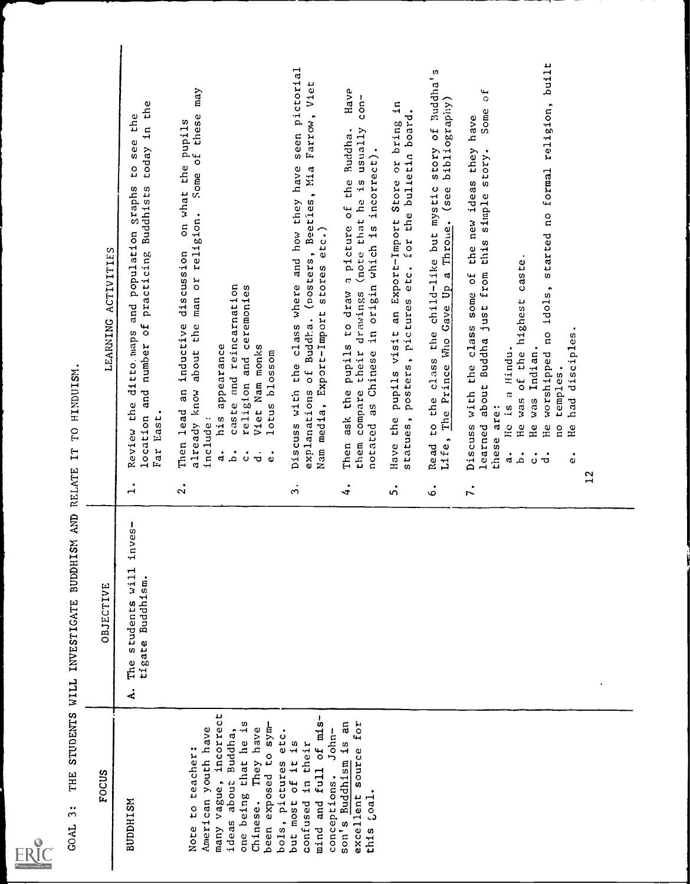

ļ

| FOCUS<br><b>GUAL 3:</b>                                                                                                                                             | THE STUDENTS WILL INVESTIGATE BUDDHISM AND RELATE IT TO HINDUISM<br>OBJECTIVE |                     |                                                                                                                                                                                                                                                                                                                                                                                                                                                                                         |
|---------------------------------------------------------------------------------------------------------------------------------------------------------------------|-------------------------------------------------------------------------------|---------------------|-----------------------------------------------------------------------------------------------------------------------------------------------------------------------------------------------------------------------------------------------------------------------------------------------------------------------------------------------------------------------------------------------------------------------------------------------------------------------------------------|
|                                                                                                                                                                     |                                                                               |                     | ACTIVITIES<br>LEARNING                                                                                                                                                                                                                                                                                                                                                                                                                                                                  |
| <b>BUDDHISM</b>                                                                                                                                                     | inves-<br>width<br>tigate Buddhism.<br>students<br>The<br>$\ddot{\textbf{r}}$ | $\overline{a}$      | today in the<br>the<br>see<br>p<br>and number of practicing Buddhists<br>Review the ditto maps and population graphs<br>Far East.<br>location                                                                                                                                                                                                                                                                                                                                           |
| many vague, incorrect<br>one being that he is<br>been exposed to sym-<br>They have<br>American youth have<br>ideas about Buddha,<br>to teacher:<br>Chinese.<br>Note |                                                                               | $\ddot{\mathbf{c}}$ | may<br>these<br>on what the pupils<br>$\overline{\mathfrak{h}}$<br>Some<br>man or religion.<br>discussion<br>and reincarnation<br>religion and ceremonies<br>Then lead an inductive<br>already know about the<br>his appearance<br>Nam monks<br>blossom<br>caste<br>lotus<br>Viet<br>include:<br>$\ddot{a}$<br>.<br>م<br>$\dot{a}$<br>ပ<br>$\ddot{\circ}$                                                                                                                               |
| of mis-<br>$John-$<br>etc.<br>most of it is<br>in their<br>bols, pictures<br>mind and full<br>conceptions.<br>confused<br>but                                       |                                                                               | $\dot{ }$           | seen pictorial<br>Farrow, Viet<br>explanations of Buddha. (posters, Beetles, Mia<br>and how they have<br>Nam media, Export-Import stores etc.)<br>Discuss with the class where                                                                                                                                                                                                                                                                                                          |
| an<br>for<br>Buddhism is<br>excellent source<br>Coal.<br>son's<br>th <sub>1s</sub>                                                                                  |                                                                               | $\ddot{ }$          | Have<br>top-<br>usually<br>Then ask the pupils to draw a picture of the Buddha.<br>incorrect).<br>drawings (note that he is<br>in origin which is<br>as Chinese<br>their<br>compare<br>notated<br>them                                                                                                                                                                                                                                                                                  |
|                                                                                                                                                                     |                                                                               | ທ່                  | $\mathfrak{m}$<br>statues, posters, pictures etc. for the bulietin board.<br>Have the pupils visit an Export-Import Store or bring                                                                                                                                                                                                                                                                                                                                                      |
|                                                                                                                                                                     |                                                                               | $\dot{\circ}$       | Buddha <sup>1</sup> <sub>5</sub><br>bibliography)<br>story of<br>Life, The Prince Who Gave Up a Throne. (see<br>Read to the class the child-like but mystic                                                                                                                                                                                                                                                                                                                             |
|                                                                                                                                                                     |                                                                               | 12<br>$\mathbf{r}$  | built<br>$\circ$ f<br>religion,<br>Some<br>they have<br>this simple story.<br>formal<br>the new ideas<br>started no<br>caste.<br>about Buddha just from<br>Discuss with the class some of<br>worshipped no idols,<br>highest<br>disciples<br>Indian.<br>He is a Hindu.<br>the<br>temples<br><b>b</b><br>had<br>was<br>vas<br>are:<br>learned<br>He<br>He<br>$\frac{0}{1}$<br>$\frac{1}{2}$<br>He<br>these<br>$\ddot{a}$<br>.<br>م<br>$\ddot{\circ}$<br>$\dot{\sigma}$<br>$\ddot{\circ}$ |
|                                                                                                                                                                     |                                                                               |                     |                                                                                                                                                                                                                                                                                                                                                                                                                                                                                         |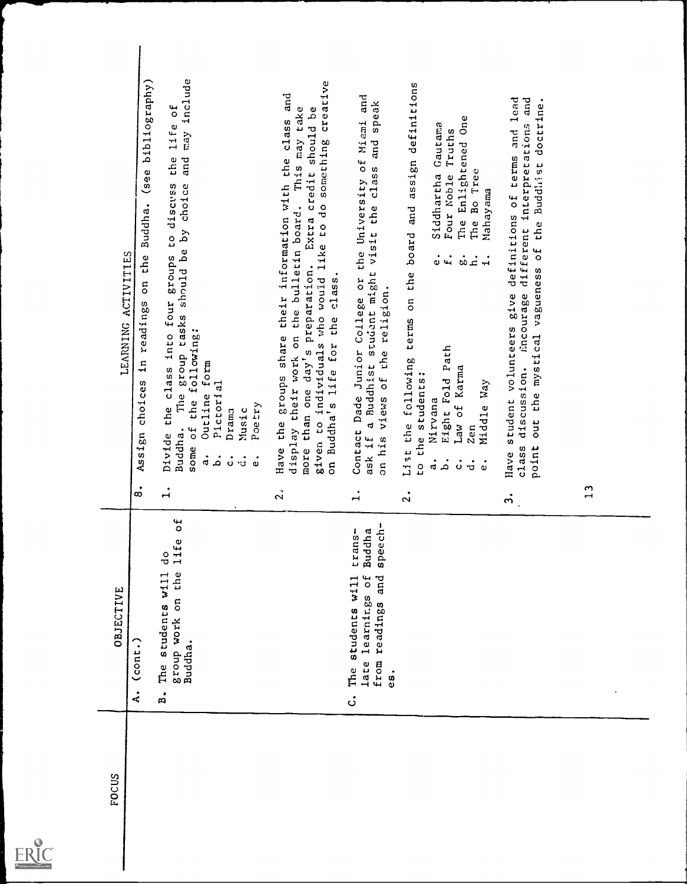

| LEARNING ACTIVITIES | (see bibliography)<br>Buddha.<br>the<br>S<br>readings<br>$\mathfrak{m}$<br>Assign choices<br>$\dot{\circ}$ | may include<br><b>b</b><br>11fe<br>and<br>the<br>Divide the class into four groups to discuss<br>should be by choice<br>group tasks<br>following:<br>form<br>Pictorial<br>The<br>Outline<br>of the<br>Poetry<br>Music<br>Drama<br>Buddha.<br>some<br>$\ddot{a}$<br>.<br>م<br>$\dot{\circ}$<br>$\ddot{\mathbf{u}}$<br>$\ddot{\circ}$<br>$\ddot{ }$ | like to do something creative<br>and<br>more than one day's preparation. Extra credit should be<br>display their work on the bulletin board. This may take<br>class<br>Have the groups share their information with the<br>class.<br>given to individuals who would<br>the<br>on Buddha's life for<br>$\ddot{\mathbf{c}}$ | Contact Dade Junior College or the University of Miami and<br>speak<br>and<br>the class<br>a Buddhist student might visit<br>on his views of the religion.<br>ask if<br>$\ddot{ }$ | List the following terms on the board and assign definitions<br>Siddhartha Gautama<br>Truths<br>Four Noble<br>$\ddot{\circ}$<br>$\ddot{f}$<br>Eight Fold Path<br>students:<br>Nirvana<br>the<br>$\ddot{a}$<br>.<br>م<br>c<br>C<br>$\ddot{2}$ | One<br>Enlightened<br>Bo Tree<br>Nahayama<br>The<br>The<br>$\dot{\text{a}}$ .<br>$\ddot{ }$<br>of Karma<br>Way<br>Middle<br>Law<br>Zen<br>$\dot{\circ}$<br>$\dot{\sigma}$<br>$\ddot{\circ}$ | $1$ ead<br>and<br>doctrine.<br>discussion. Encourage different interpretations<br>and<br>student volunteers give definitions of terms<br>the mystical vagueness of the Buddlist<br>out<br>class<br>point<br>llave<br>$\ddot{ }$ | 13 |  |
|---------------------|------------------------------------------------------------------------------------------------------------|---------------------------------------------------------------------------------------------------------------------------------------------------------------------------------------------------------------------------------------------------------------------------------------------------------------------------------------------------|---------------------------------------------------------------------------------------------------------------------------------------------------------------------------------------------------------------------------------------------------------------------------------------------------------------------------|------------------------------------------------------------------------------------------------------------------------------------------------------------------------------------|----------------------------------------------------------------------------------------------------------------------------------------------------------------------------------------------------------------------------------------------|---------------------------------------------------------------------------------------------------------------------------------------------------------------------------------------------|---------------------------------------------------------------------------------------------------------------------------------------------------------------------------------------------------------------------------------|----|--|
| OBJECTIVE           | $\frac{1}{2}$<br>$\ddot{\mathbf{A}}$                                                                       | group work on the life of<br>$\sigma$<br>The students will<br>Buddha.<br>$\mathbf{a}$                                                                                                                                                                                                                                                             |                                                                                                                                                                                                                                                                                                                           | speech-<br><b>Buddha</b><br>trans-<br>late learnings of<br>The students will<br>and<br>from readings<br>es.<br>.<br>ت                                                              |                                                                                                                                                                                                                                              |                                                                                                                                                                                             |                                                                                                                                                                                                                                 |    |  |
| <b>FOCUS</b>        |                                                                                                            |                                                                                                                                                                                                                                                                                                                                                   |                                                                                                                                                                                                                                                                                                                           |                                                                                                                                                                                    |                                                                                                                                                                                                                                              |                                                                                                                                                                                             |                                                                                                                                                                                                                                 |    |  |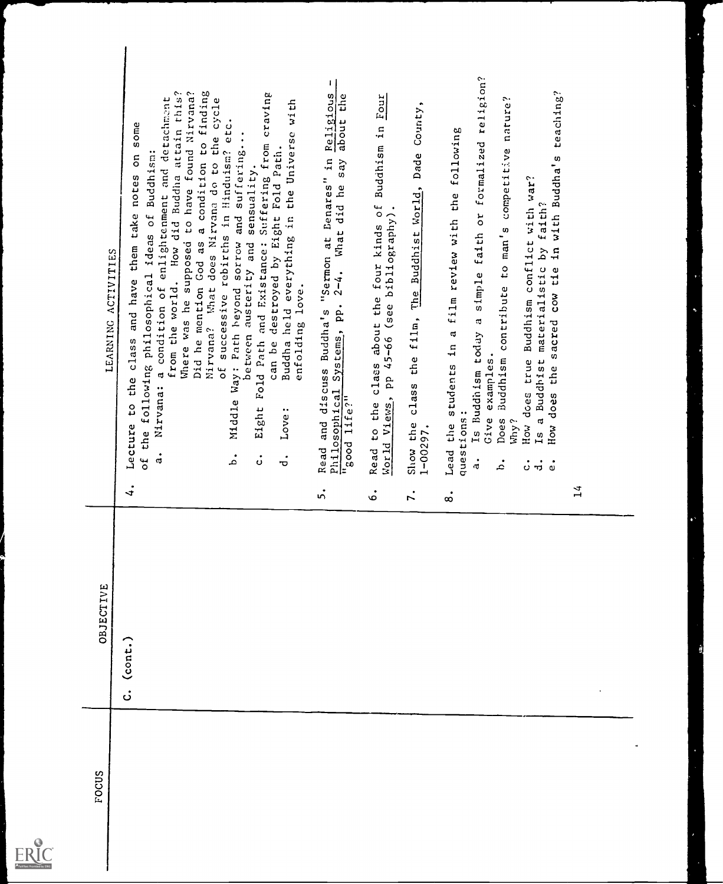| Full Text Provided by ERIC |
|----------------------------|

| LEARNING ACTIVITIES | a condition to finding<br>from the world. How did Buddha attain this?<br>Where was he supposed to have found Nirvana?<br>craving<br>a condition of enlightenment and detachment<br>does Nirvana do to the cycle<br>etc.<br>some<br>and suffering<br>from<br>successive rebirths in Hinduism?<br>$\overline{5}$<br>of the following philosophical ideas of Buddhism:<br>sensuality.<br>notes<br>Suffering<br>them take<br>SOLLON<br>Eight Fold Path and Existance:<br>Did he mention God as<br>between austerity and<br>and have<br>Nirvana? Khat<br>Way: Path heyond<br>Lecture to the class<br>٩ŕ<br>Nirvana:<br>Middle<br>$\ddot{a}$<br><b>.</b><br>م<br>$\ddot{\circ}$<br>$\frac{1}{4}$ | with<br>the Universe<br>destroyed by Eight Fold Path.<br>Buddha held everything in<br>enfolding love.<br>can be<br>discuss<br>Love:<br>and<br>Read<br>.<br>U<br>ທໍ | 44<br>Religious<br>the<br>Four<br>about<br>Buddhism in<br>Buddha's "Sermon at Denares" in<br>say<br>What did he<br>Read to the class about the four kinds of<br>$2 - 4$ .<br>Systems, pp.<br>Philosophical<br>$11fe^{2n}$<br>poog<br>ئە | County,<br>Buddhist World, Dade<br>World Views, pp 45-66 (see bibliography).<br>The<br>film,<br>the<br>class<br>Show the<br>1-00297.<br>$\mathbf{r}$ .<br>$\dot{\infty}$ | simple faith or formalized religion?<br>to man's competitive nature?<br>following<br>film review with the<br>Buddhism contribute<br>Is Buddhism today a<br>$\mathbf{\overline{d}}$<br>$\mathfrak{a}$<br>Give examples.<br>Lead the students<br>questions:<br>Does<br>Why?<br>$\dot{a}$<br>.<br>د | sacred cow tie in with Buddha's teaching?<br>war?<br>a Buddhist materialistic by faith?<br>How does true Buddhism conflict with<br>does the<br>How<br>$\overline{15}$<br>ن<br>$\dot{ }$<br>$\ddot{\circ}$ | 14 |  |
|---------------------|--------------------------------------------------------------------------------------------------------------------------------------------------------------------------------------------------------------------------------------------------------------------------------------------------------------------------------------------------------------------------------------------------------------------------------------------------------------------------------------------------------------------------------------------------------------------------------------------------------------------------------------------------------------------------------------------|--------------------------------------------------------------------------------------------------------------------------------------------------------------------|-----------------------------------------------------------------------------------------------------------------------------------------------------------------------------------------------------------------------------------------|--------------------------------------------------------------------------------------------------------------------------------------------------------------------------|--------------------------------------------------------------------------------------------------------------------------------------------------------------------------------------------------------------------------------------------------------------------------------------------------|-----------------------------------------------------------------------------------------------------------------------------------------------------------------------------------------------------------|----|--|
| <b>OBJECTIVE</b>    | $_{\rm (cont.)}$<br>.<br>ن                                                                                                                                                                                                                                                                                                                                                                                                                                                                                                                                                                                                                                                                 |                                                                                                                                                                    |                                                                                                                                                                                                                                         |                                                                                                                                                                          |                                                                                                                                                                                                                                                                                                  |                                                                                                                                                                                                           |    |  |
| FOCUS               |                                                                                                                                                                                                                                                                                                                                                                                                                                                                                                                                                                                                                                                                                            |                                                                                                                                                                    |                                                                                                                                                                                                                                         |                                                                                                                                                                          |                                                                                                                                                                                                                                                                                                  |                                                                                                                                                                                                           |    |  |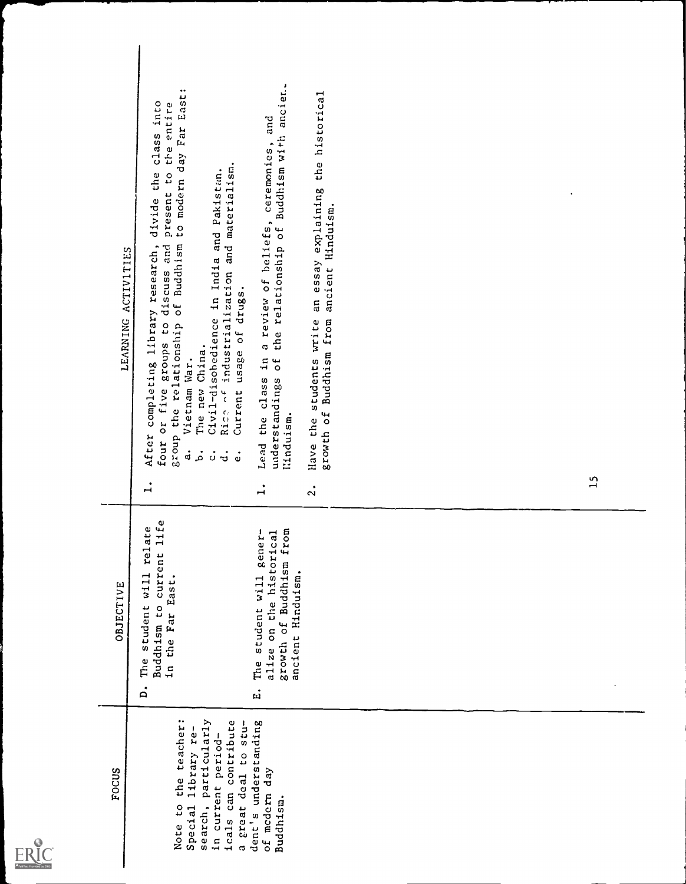

| ACTIVITIES<br>LEARNING | $\ddot{\phantom{0}}$<br>East:<br>divide the class into<br>present to the entire<br>Far<br>to modern day<br>industrialization and materialism.<br>Civil-disobedience in India and Pakistan.<br>groups to discuss and<br>group the relationship of Buddhism<br>After completing library research,<br>drugs.<br>usage of<br>The new China.<br>Vietnam War.<br>four or five<br>Rich of<br>Current<br>.<br>J<br>.<br>م<br>$\dot{\circ}$<br>$\ddot{d}$<br>$\ddot{\circ}$<br>$\mathbf{\mathbf{t}}$ | ancier.<br>and<br>Buddhism with<br>a review of beliefs, ceremonies,<br>the relationship of<br>understandings of<br>$\mathbf{u}$<br>Lead the class<br>l'induism.<br>$\mathbf{u}$ | the historical<br>Have the students write an essay explaining<br>ancient Hinduism.<br>growth of Buddhism from<br>$\ddot{\Omega}$ | 15 |
|------------------------|---------------------------------------------------------------------------------------------------------------------------------------------------------------------------------------------------------------------------------------------------------------------------------------------------------------------------------------------------------------------------------------------------------------------------------------------------------------------------------------------|---------------------------------------------------------------------------------------------------------------------------------------------------------------------------------|----------------------------------------------------------------------------------------------------------------------------------|----|
| OBJECTIVE              | Buddhism to current life<br>The student will relate<br>in the Far East.<br>$\mathbf{a}^{\cdot}$                                                                                                                                                                                                                                                                                                                                                                                             | growth of Buddhism from<br>The student will gener-<br>alize on the historical<br>ancient Hinduism.<br><u>្ពុ</u>                                                                |                                                                                                                                  |    |
| <b>FOCUS</b>           | the teacher:<br>search, particularly<br>icals can contribute<br>a great deal to stu-<br>Special library re-<br>in current period-<br>Note to                                                                                                                                                                                                                                                                                                                                                | dent's understanding<br>of medern day<br>Buddhism.                                                                                                                              |                                                                                                                                  |    |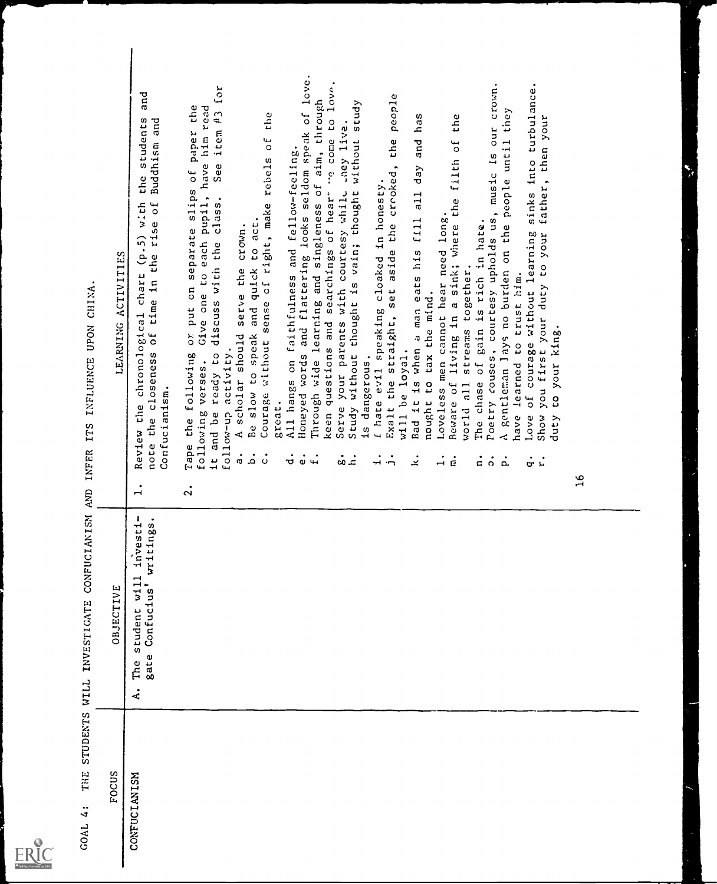

 $\begin{array}{c} \n \downarrow \n \downarrow \n \end{array}$ 

| ITS INFLUENCE UPON CHINA                | LEARNING ACTIVITIES | and<br>students<br>Buddhism and<br>the<br>of time in the rise of<br>chronological chart (p.5) with<br>note the closeness<br>Confucianism.<br>Review the<br>٠<br>$\overline{\phantom{0}}$ | or put on separate slips of paper the<br>Tape the following<br>$\ddot{\Omega}$ | Give one to each pupil, have him read<br>following verses. | for<br>$i$ tem $#3$<br>See<br>class.<br>discuss with the<br>follow-up activity.<br>and be ready to<br>$\frac{1}{1}$ | scholar should serve the crown.<br>$\prec$<br>$\ddot{a}$ | .<br>م | Be slow to speak and quick to act.<br>$\ddot{\circ}$ | the<br>$\sigma$ £<br>rebels<br>Courage without sense of right, make<br>great. | and fellow-feeling.<br>All hangs on faithfulness<br>$\dot{\vec{v}}$ | Honeyed words and flattering looks seldom speak of love.<br>$\ddot{\bullet}$ | Through wide learning and singleness of aim, through<br>.<br>سا | keen questions and searchings of heart we come to love. | study<br>.ney live.<br>without<br>Study without thought is vain; thought<br>Serve your parents with courtesy while<br>$\dot{\tilde{\omega}}$ $\dot{\tilde{\omega}}$ | is dangerous. | evil speaking cloaked in honesty.<br>f hate<br>$\mathbf{I}$ | people<br>the<br>Exalt the straight, set aside the crooked,<br>$\dot{5}$ | will be loyal. | has<br>and<br>Bad it is when a man eats his fill all day<br>.<br>× | to tax the mind.<br>nought | Loveless men cannot hear need long.<br>$\dot{1}$ | the<br>filth of<br>Beware of living in a sink; where the<br>ć | streams together.<br>world all | of gain is rich in hate.<br>The chase<br>$\dot{\Xi}$ | crown.<br>our<br>Poetry couses, courtesy upholds us, music is<br>$\dot{\circ}$ | A gentleman lays no burden on the people until they<br>j. | have learned to trust him. | sinks into turbulance.<br>of courage without learning<br>Love<br>$\dot{q}$ | father, then your<br>you first your duty to your<br>Show<br>٠, | to your king.<br>duty | 54 |  |
|-----------------------------------------|---------------------|------------------------------------------------------------------------------------------------------------------------------------------------------------------------------------------|--------------------------------------------------------------------------------|------------------------------------------------------------|---------------------------------------------------------------------------------------------------------------------|----------------------------------------------------------|--------|------------------------------------------------------|-------------------------------------------------------------------------------|---------------------------------------------------------------------|------------------------------------------------------------------------------|-----------------------------------------------------------------|---------------------------------------------------------|---------------------------------------------------------------------------------------------------------------------------------------------------------------------|---------------|-------------------------------------------------------------|--------------------------------------------------------------------------|----------------|--------------------------------------------------------------------|----------------------------|--------------------------------------------------|---------------------------------------------------------------|--------------------------------|------------------------------------------------------|--------------------------------------------------------------------------------|-----------------------------------------------------------|----------------------------|----------------------------------------------------------------------------|----------------------------------------------------------------|-----------------------|----|--|
| WILL INVESTIGATE CONFUCIANISM AND INFER | OBJECTIVE           | $est1 -$<br>ings.<br>$\ln v_1$<br>writ<br>student will<br>gate Confucius'<br>The<br>$\dot{\mathbf{A}}$                                                                                   |                                                                                |                                                            |                                                                                                                     |                                                          |        |                                                      |                                                                               |                                                                     |                                                                              |                                                                 |                                                         |                                                                                                                                                                     |               |                                                             |                                                                          |                |                                                                    |                            |                                                  |                                                               |                                |                                                      |                                                                                |                                                           |                            |                                                                            |                                                                |                       |    |  |
| STUDENTS<br>iii<br>H<br><b>COAL 4:</b>  | FOCUS               | CONFUCIANISM                                                                                                                                                                             |                                                                                |                                                            |                                                                                                                     |                                                          |        |                                                      |                                                                               |                                                                     |                                                                              |                                                                 |                                                         |                                                                                                                                                                     |               |                                                             |                                                                          |                |                                                                    |                            |                                                  |                                                               |                                |                                                      |                                                                                |                                                           |                            |                                                                            |                                                                |                       |    |  |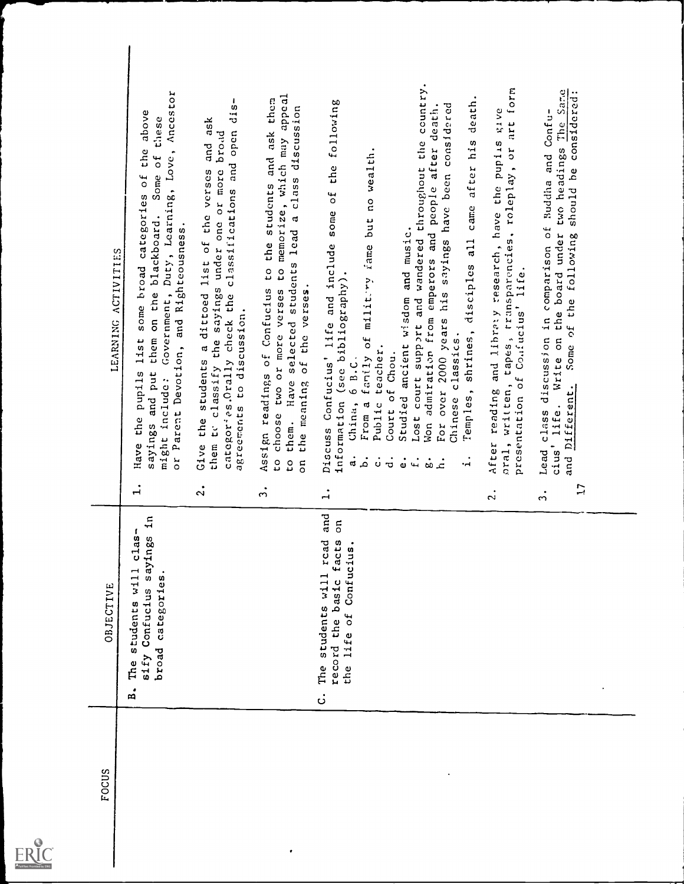

I

| <b>ACTIVITIES</b><br>LEARNING | include: Government, Duty, Learning, Love, Ancestor<br>above<br>these<br>the<br>Some of<br>the pupils list some broad categories of<br>them on the blackboard.<br>or Parent Devotion, and Righteousness.<br>sayings and put<br>might<br>Have | $dis-$<br>ask<br>categor'es. Orally check the classifications and open<br>them to classify the sayings under one or more broad<br>and<br>students a dittoed list of the verses<br>agreements to discussion.<br>the<br>Give | choose two or more verses to memorize, which may appeal<br>Assign readings of Confucius to the students and ask then<br>them. Have selected students lead a class discussion<br>the meaning of the verses.<br>c<br>C<br>Ξ<br>g | following<br>fanily of militiry fame but no wealth.<br>the<br>Discuss Confucius' life and include some of<br>information (see bibliography)<br>Public teacher.<br>of Chou.<br>6 B.C.<br>From a<br>China,<br>Court<br>$\ddot{a}$<br>.<br>م<br>$\ddot{\mathbf{0}}$<br>$\dot{a}$<br>$\dot{\mathbf{e}}$ | country.<br>death.<br>2000 years his sayings have been considered<br>admiration from emperors and people after death.<br>throughout the<br>after his<br>came<br>Studied ancient wisdom and music.<br>a11<br>Lost court support and wandered<br>disciples<br>shrines,<br>Chinese classics.<br>Temples,<br>For over<br>Won<br>.<br>۳.<br>$\ddot{ }$<br>$\dot{\infty}$<br>.<br>م | tapes, transparencies, roleplay, or art form<br>After reading and libraty research, have the pupiis give<br>presentation of Confucius' life.<br>oral, written, | Igs The Same<br>Lead class discussion in comparison of Buddha and Confu<br>life. Write on the board under two headings The<br>should be<br>Some of the following<br>and Different.<br>cius' |  |
|-------------------------------|----------------------------------------------------------------------------------------------------------------------------------------------------------------------------------------------------------------------------------------------|----------------------------------------------------------------------------------------------------------------------------------------------------------------------------------------------------------------------------|--------------------------------------------------------------------------------------------------------------------------------------------------------------------------------------------------------------------------------|-----------------------------------------------------------------------------------------------------------------------------------------------------------------------------------------------------------------------------------------------------------------------------------------------------|-------------------------------------------------------------------------------------------------------------------------------------------------------------------------------------------------------------------------------------------------------------------------------------------------------------------------------------------------------------------------------|----------------------------------------------------------------------------------------------------------------------------------------------------------------|---------------------------------------------------------------------------------------------------------------------------------------------------------------------------------------------|--|
| OBJECTIVE                     | $\ddot{ }$<br>$\mathbf{H}$<br>$c1a$ s-<br>sify Confucius sayings<br>students will<br>broad categories.<br><b>The</b>                                                                                                                         | $\ddot{\Omega}$                                                                                                                                                                                                            | $\ddot{ }$                                                                                                                                                                                                                     | $\mathbf{u}$<br>and<br>50<br>rcad<br>record the basic facts<br>the life of Confucius.<br>The students will                                                                                                                                                                                          |                                                                                                                                                                                                                                                                                                                                                                               | $\ddot{\Omega}$                                                                                                                                                | $\ddot{1}$<br>$\dot{5}$                                                                                                                                                                     |  |
| FOCUS                         | $\mathbf{B}$ .                                                                                                                                                                                                                               |                                                                                                                                                                                                                            |                                                                                                                                                                                                                                | .<br>ت                                                                                                                                                                                                                                                                                              |                                                                                                                                                                                                                                                                                                                                                                               |                                                                                                                                                                |                                                                                                                                                                                             |  |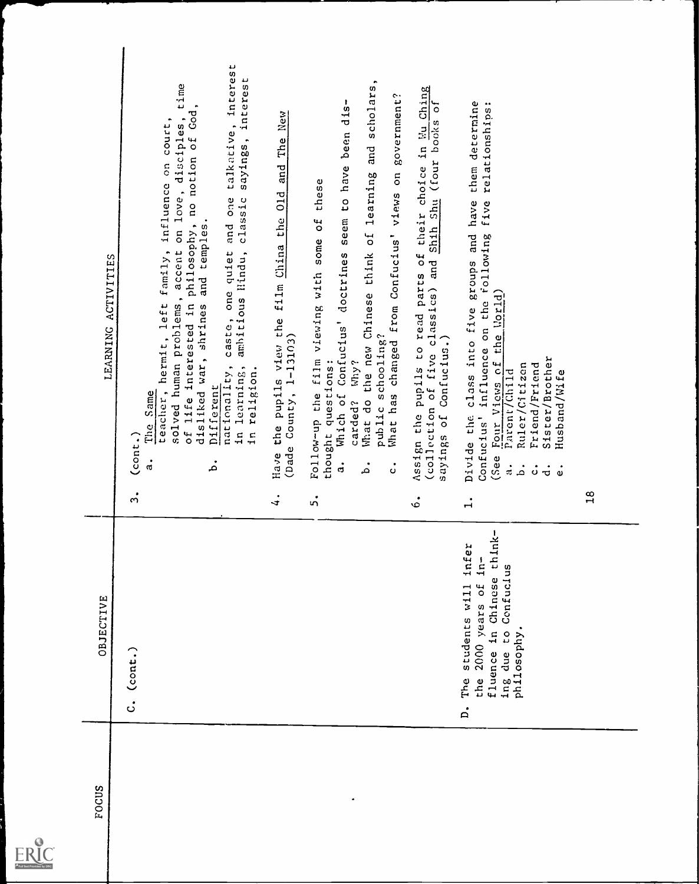

| ACTIVITIES<br>LEARNING | talkative, interest<br>sayings, interest<br>time<br>of life interested in philosophy, no notion of God,<br>solved human problems, accent on love, disciples,<br>family, influence on court,<br>and one<br>classic<br>and temples.<br>caste, one quiet<br>amhitious Hindu,<br>teacher, hermit, left<br>disliked war, shrines<br>nationality,<br>learning,<br>in religion.<br>Different<br>The Same<br>$\ddot{a}$<br>$_{\rm{Conv.}}$<br>್ನ<br>.<br>م<br>$\ddot{ }$ | New<br>The<br>and<br>01d<br>the pupils view the film China the<br>(Dade County, 1-13103)<br>Have<br>$\ddot{ }$ | scholars,<br>government<br>been dis-<br>and<br>to have<br>learning<br>5<br>these<br>views<br>seem<br><b>u</b><br>think of<br>What has changed from Confucius'<br>some<br>Which of Confucius' doctrines<br>Follow-up the film viewing with<br>What do the new Chinese<br>public schooling?<br>Why?<br>thought questions:<br>carded?<br>.<br>ය<br>.<br>م<br>ပ<br>$\ddot{\mathbf{v}}$ | Assign the pupils to read parts of their choice in Wu Ching<br>ō<br>(collection of five classics) and Shih Shu (four books<br>Confucius.)<br>Jo<br>sayings<br>.<br>ف | them determine<br>$\bullet\bullet$<br>relationships<br>have<br>five<br>influence on the following<br>groups and<br>the Uorld)<br>Divide the class into five<br>Sister/Brother<br>$\overline{c}$<br>Ruler/Citizen<br>Friend/Friend<br>Parent/Child<br>Husband/Wife<br>Four Views<br>Confucius'<br>(See<br>$\frac{1}{3}$<br>.<br>م<br>$\ddot{\circ}$<br>$\dot{\vec{c}}$<br>$\ddot{\circ}$<br>$\ddot{ }$ | 18 |
|------------------------|------------------------------------------------------------------------------------------------------------------------------------------------------------------------------------------------------------------------------------------------------------------------------------------------------------------------------------------------------------------------------------------------------------------------------------------------------------------|----------------------------------------------------------------------------------------------------------------|------------------------------------------------------------------------------------------------------------------------------------------------------------------------------------------------------------------------------------------------------------------------------------------------------------------------------------------------------------------------------------|----------------------------------------------------------------------------------------------------------------------------------------------------------------------|-------------------------------------------------------------------------------------------------------------------------------------------------------------------------------------------------------------------------------------------------------------------------------------------------------------------------------------------------------------------------------------------------------|----|
| OBJECTIVE              | $_{\rm (cont.)}$<br>ပ                                                                                                                                                                                                                                                                                                                                                                                                                                            |                                                                                                                |                                                                                                                                                                                                                                                                                                                                                                                    |                                                                                                                                                                      | fluence in Chinese think-<br>students will infer<br>$In-$<br>Confucius<br>the 2000 years of<br>ing due to<br>philosophy.<br>The<br>$\overline{a}$                                                                                                                                                                                                                                                     |    |
| FOCUS                  |                                                                                                                                                                                                                                                                                                                                                                                                                                                                  |                                                                                                                |                                                                                                                                                                                                                                                                                                                                                                                    |                                                                                                                                                                      |                                                                                                                                                                                                                                                                                                                                                                                                       |    |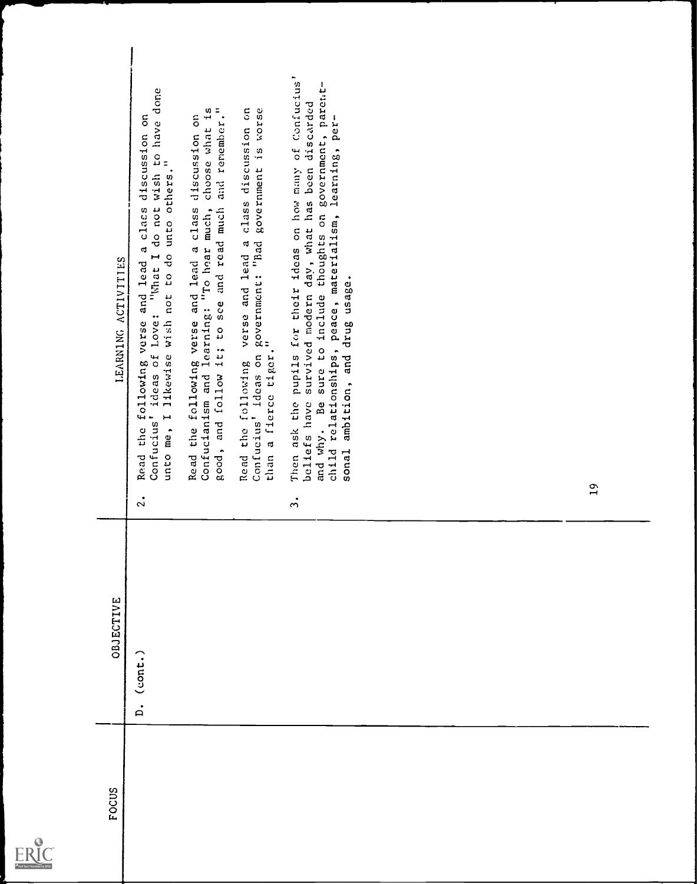

J

| LEARNING ACTIVITIES | done<br>discussion on<br>do not wish to have<br>$\equiv$<br>unto me, I likewise wish not to do unto others.<br>class<br>$\vec{a}$<br>Confucius' ideas of Love: "What I<br>Read the following verse and lead<br>$\ddot{\sim}$ | choose what is<br>and remember."<br>õ<br>discussion<br>Read the following verse and lead a class<br>learning: "To hear much,<br>read much<br>it; to see and<br>Confucianism and<br>good, and follow | class discussion on<br>government is worse<br>verse and lead a<br>government: "Bad<br>a fierce tiger.<br>Confucius' ideas on<br>Read the following<br>than | Then ask the pupils for their ideas on how many of Confucius'<br>sure to include thoughts on government, parent-<br>survived modern day, what has been discarded<br>learning, per-<br>chiid relationships, peace, materialism,<br>sonal ambition, and drug usage.<br>beliefs have<br>and why. Be<br>$\ddot{ }$ |  | $\overline{1}9$ |
|---------------------|------------------------------------------------------------------------------------------------------------------------------------------------------------------------------------------------------------------------------|-----------------------------------------------------------------------------------------------------------------------------------------------------------------------------------------------------|------------------------------------------------------------------------------------------------------------------------------------------------------------|----------------------------------------------------------------------------------------------------------------------------------------------------------------------------------------------------------------------------------------------------------------------------------------------------------------|--|-----------------|
| OBJECTIVE           | $($ cont. $)$<br>$\dot{a}$                                                                                                                                                                                                   |                                                                                                                                                                                                     |                                                                                                                                                            |                                                                                                                                                                                                                                                                                                                |  |                 |
| <b>FOCUS</b>        |                                                                                                                                                                                                                              |                                                                                                                                                                                                     |                                                                                                                                                            |                                                                                                                                                                                                                                                                                                                |  |                 |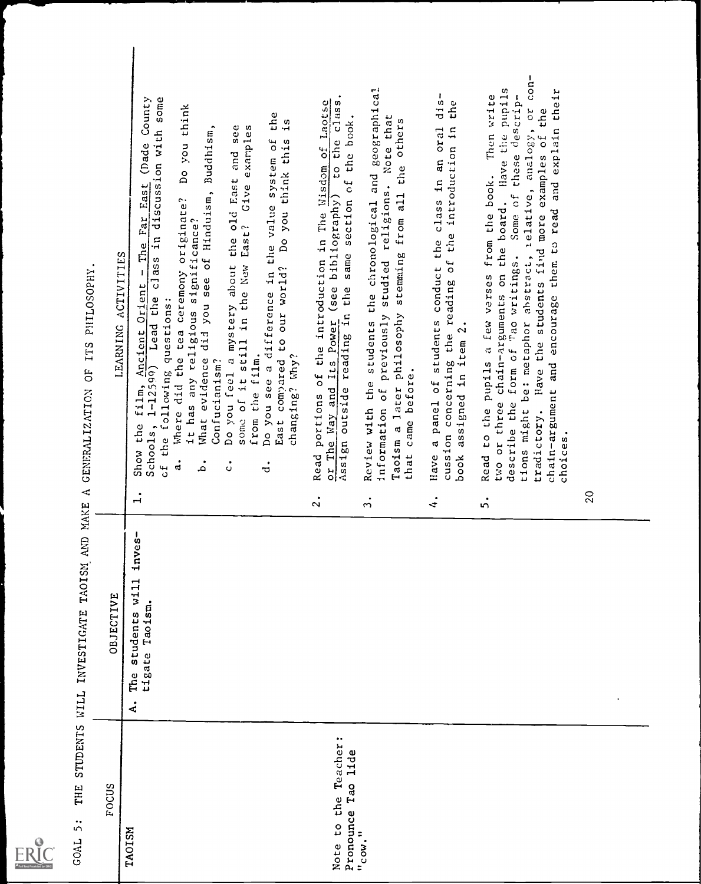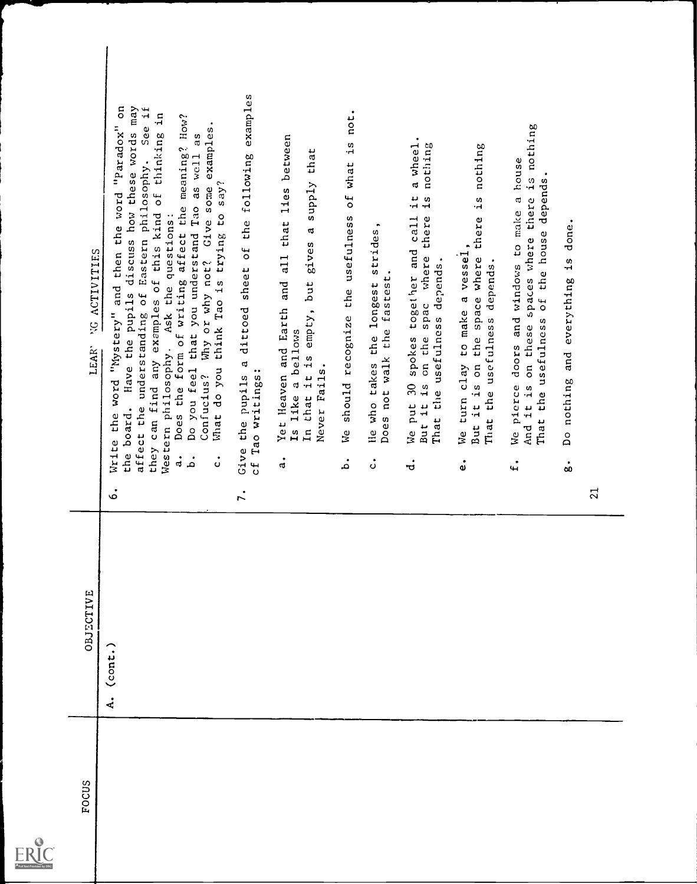| Full Text Provided by ERIC |
|----------------------------|

| NG ACTIVITIES<br>LEAR' | then the word "Paradox" on<br>the board. Have the pupils discuss how these words may<br>See if<br>they can find any examples of this kind of thinking in<br>affect the meaning? How?<br>examples.<br>as<br>as well<br>of Eastern philosophy.<br>is trying to say?<br>Confucius? Why or why not? Give some<br>Do you feel that you understand Tao<br>Ask the questions:<br>Does the form of writing<br>and<br>do you think Tao<br>affect the understanding<br>Write the word "Mystery"<br>Western philosophy.<br>What<br>$\ddot{\vec{a}}$<br>.<br>م<br>ပ<br>.<br>ف | examples<br>following<br>the<br>$\overline{\mathfrak{c}}$<br>sheet<br>dittoed<br>$\mathbf{\overline{d}}$<br>cf Tao writings:<br>Give the pupils<br>$\ddot{\sim}$ | all that lies between<br>that<br>supply<br>$\mathbf{\sigma}$<br>gives<br>and<br>but<br>Yet Heaven and Earth<br>In that it is empty,<br>Is like a bellows<br>Never Fails.<br>$\ddot{a}$ | not.<br>should recognize the usefulness of what is<br>We<br>مُ | strides,<br>Does not walk the fastest.<br>He who takes the longest<br>$\ddot{\circ}$ | a wheel<br>nothing<br>$\frac{1}{1}$<br>$\frac{5}{1}$<br>there<br>We put 30 spokes together and call<br>spac where<br>the usefulness depends.<br>the<br>$\sin$<br>it is<br>That<br>But<br>$\dot{a}$ | nothing<br>$\frac{5}{1}$<br>there<br>We turn clay to make a vessel,<br>it is on the space where<br>That the usefulness depends.<br>But<br>စံ | is nothing<br>We pierce doors and windows to make a house<br>That the usefulness of the house depends.<br>on these spaces where there<br>And it is<br>$\ddot{ }$ | done.<br>Do nothing and everything is<br>$\dot{5}$ | $\overline{21}$ |
|------------------------|-------------------------------------------------------------------------------------------------------------------------------------------------------------------------------------------------------------------------------------------------------------------------------------------------------------------------------------------------------------------------------------------------------------------------------------------------------------------------------------------------------------------------------------------------------------------|------------------------------------------------------------------------------------------------------------------------------------------------------------------|----------------------------------------------------------------------------------------------------------------------------------------------------------------------------------------|----------------------------------------------------------------|--------------------------------------------------------------------------------------|----------------------------------------------------------------------------------------------------------------------------------------------------------------------------------------------------|----------------------------------------------------------------------------------------------------------------------------------------------|------------------------------------------------------------------------------------------------------------------------------------------------------------------|----------------------------------------------------|-----------------|
| OBJECTIVE              | $_{(cont.)}$<br>4.                                                                                                                                                                                                                                                                                                                                                                                                                                                                                                                                                |                                                                                                                                                                  |                                                                                                                                                                                        |                                                                |                                                                                      |                                                                                                                                                                                                    |                                                                                                                                              |                                                                                                                                                                  |                                                    |                 |
| <b>FOCUS</b>           |                                                                                                                                                                                                                                                                                                                                                                                                                                                                                                                                                                   |                                                                                                                                                                  |                                                                                                                                                                                        |                                                                |                                                                                      |                                                                                                                                                                                                    |                                                                                                                                              |                                                                                                                                                                  |                                                    |                 |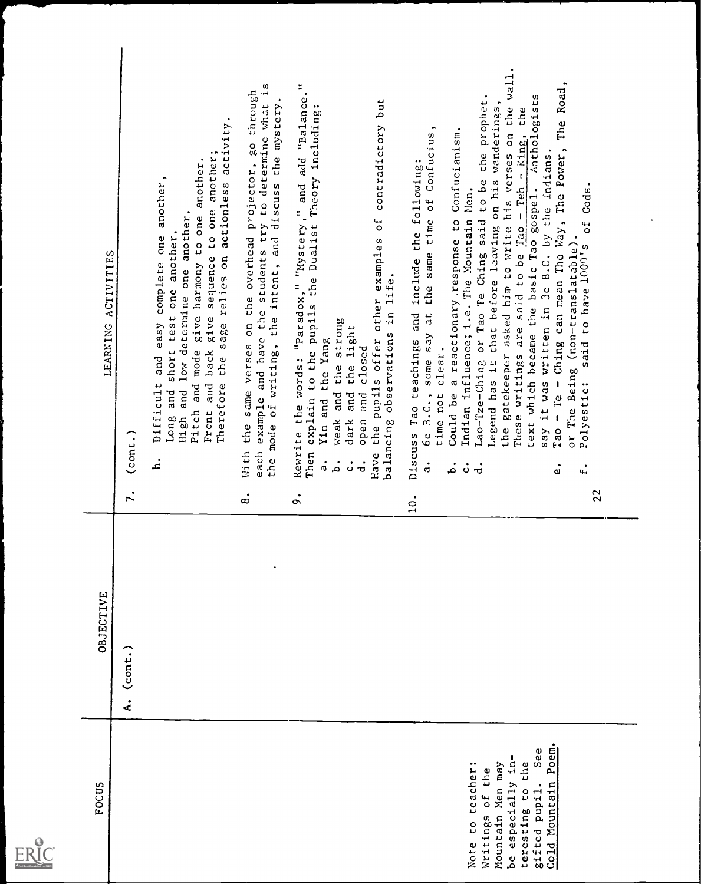| Full Text Provided by ERIC |
|----------------------------|

| ACTIVITIES<br>LEARNING | $_{(cont.)}$ | sage relies on actionless activity<br>sequence to one another;<br>another.<br>another,<br>determine one another.<br>Pitch and mode give harmony to one<br>short test one another.<br>one<br>complete<br>give<br>easy<br>and back<br>and<br>the<br>1 <sub>ov</sub><br>Difficult<br>Therefore<br>and<br>Long and<br>Front<br>High<br>.<br>a | $\frac{1}{2}$<br>the same verses on the overhead projector, go through<br>students try to determine what<br>the mode of writing, the intent, and discuss the mystery<br>each example and have the<br>With<br>$\dot{\infty}$ | Rewrite the words: "Paradox," "Mystery," and add "Balance."<br>but<br>explain to the pupils the Dualist Theory including:<br>contradictory<br>of<br>examples<br>balancing observations in life.<br>the pupils offer other<br>weak and the strong<br>the light<br>Yin and the Yang<br>open and closed<br>dark and<br>Then<br>Have<br>$\ddot{a}$<br>.<br>م<br>$\dot{a}$<br>$\ddot{\mathbf{c}}$<br>$\dot{\mathbf{c}}$ | wall.<br>Lao-Tze-Ching or Tao Te Ching said to be the prophet.<br>Legend has it that before leaving on his wanderings,<br>gatekeeper asked him to write his verses on the<br>Confucius,<br>Confucianism.<br>Discuss Tao teachings and include the following:<br>Indian influence; i.e. The Mountain Man.<br>$\mathfrak{a}$<br>a reactionary response to<br>time<br>same<br>the<br>6c B.C., some say at<br>time not clear.<br>Could be<br>Lhe<br>$\ddot{a}$<br>.<br>م<br>$\ddot{\text{o}}$<br>$\dot{\sigma}$ | Road,<br>Anthologists<br>the<br>- Ie - Ching can mean The Way, The Power, The<br>These writings are said to be $Tao - Teh - King$ ,<br>say it was written in 3c B.C. by the indians.<br>of Gods.<br>text which became the basic Tao gospel.<br>or The Being (non-translatable).<br>said to have 1000's<br>olyestic:<br>Tao<br>ρ,<br>$\ddot{\omega}$<br>$\ddot{ }$<br>22 |
|------------------------|--------------|-------------------------------------------------------------------------------------------------------------------------------------------------------------------------------------------------------------------------------------------------------------------------------------------------------------------------------------------|-----------------------------------------------------------------------------------------------------------------------------------------------------------------------------------------------------------------------------|--------------------------------------------------------------------------------------------------------------------------------------------------------------------------------------------------------------------------------------------------------------------------------------------------------------------------------------------------------------------------------------------------------------------|-------------------------------------------------------------------------------------------------------------------------------------------------------------------------------------------------------------------------------------------------------------------------------------------------------------------------------------------------------------------------------------------------------------------------------------------------------------------------------------------------------------|-------------------------------------------------------------------------------------------------------------------------------------------------------------------------------------------------------------------------------------------------------------------------------------------------------------------------------------------------------------------------|
|                        |              |                                                                                                                                                                                                                                                                                                                                           |                                                                                                                                                                                                                             |                                                                                                                                                                                                                                                                                                                                                                                                                    | $\overline{10}$ .                                                                                                                                                                                                                                                                                                                                                                                                                                                                                           |                                                                                                                                                                                                                                                                                                                                                                         |
| OBJECTIVE              | A. (cont.)   |                                                                                                                                                                                                                                                                                                                                           |                                                                                                                                                                                                                             |                                                                                                                                                                                                                                                                                                                                                                                                                    |                                                                                                                                                                                                                                                                                                                                                                                                                                                                                                             |                                                                                                                                                                                                                                                                                                                                                                         |
| FOCUS                  |              |                                                                                                                                                                                                                                                                                                                                           |                                                                                                                                                                                                                             |                                                                                                                                                                                                                                                                                                                                                                                                                    | be especially in-<br>Note to teacher:<br>Mountain Men may<br>Writings of the                                                                                                                                                                                                                                                                                                                                                                                                                                | Poem.<br>See<br>teresting to the<br>Cold Mountain<br>gifted pupil.                                                                                                                                                                                                                                                                                                      |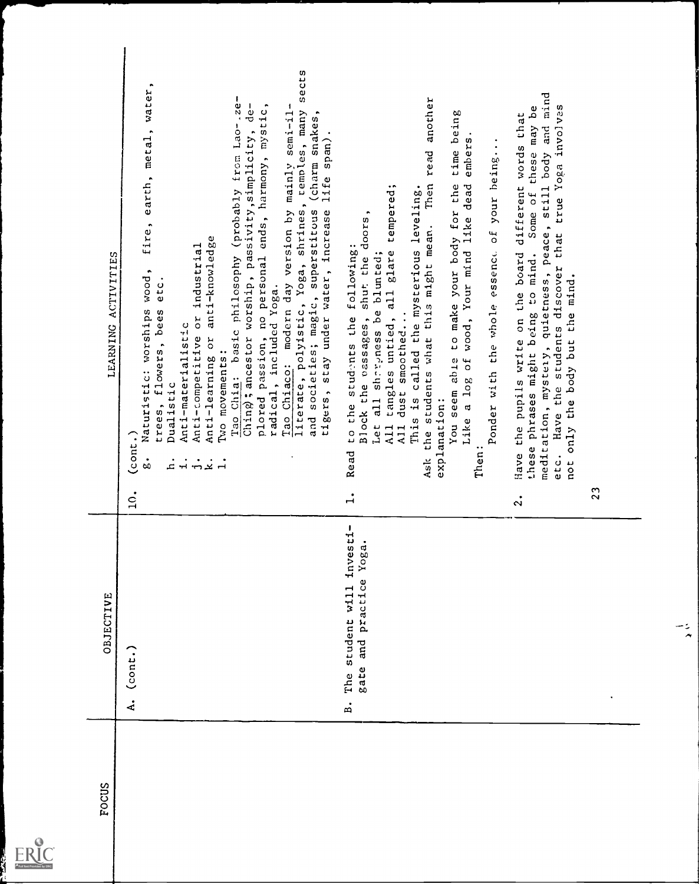| Full Text Provided by ERIC |
|----------------------------|

| ACTIVITIES<br>LEARNING | sects<br>fire, earth, metal, water,<br>Tao Chia: basic philosophy (probably from Lao-.ze-<br>plored passion, no personal ends, harmony, mystic,<br>Ching; ancestor worship, passivity, simplicity, de-<br>$semi-i1-$<br>temples, many<br>(charm snakes,<br>life span).<br>Tao Chiaco: modern day version by mainly<br>literate, polyistic, Yoga, shrines,<br>tigers, stay under water, increase<br>and societies; magic, superstitous<br>anti-knowledge<br>Anti-competitive or industrial<br>wood,<br>etc.<br>radical, included Yoga.<br>Naturistic: worships<br>trees, flowers, bees<br>Anti-materialistic<br>Anti-learning or<br>Two movements:<br>Dualistic<br>$_{\rm (cont.)}$<br>$\dot{8}$<br>$\frac{1}{12}$<br>i.<br>$\ddot{ }$<br>$\dot{q}$ | another<br>time being<br>embers.<br>your being<br>read<br>Then<br>You seem able to make your body for the<br>a log of wood, Your mind like dead<br>tempered;<br>This is called the mysterious leveling.<br>doors,<br>the students what this might mean.<br><b>u</b><br>to the students the following:<br>tangles untied, all glare<br>Ponder with the whole essence<br>Let all shrryness be blunted;<br>Block the passages, shut the<br>All dust smoothed<br>explanation:<br>Like<br>$\Delta$ 11<br>Read<br>Then<br>Ask<br>$\dot{a}$ | mind<br>etc. Have the students discover that true Yoga involves<br>these phrases might being to mind. Some of these may be<br>Have the pupils write on the board different words that<br>meditation, mystery, quietness, peace, still body and<br>not only the body but the mind.<br>$\ddot{\Omega}$ | 23 |
|------------------------|----------------------------------------------------------------------------------------------------------------------------------------------------------------------------------------------------------------------------------------------------------------------------------------------------------------------------------------------------------------------------------------------------------------------------------------------------------------------------------------------------------------------------------------------------------------------------------------------------------------------------------------------------------------------------------------------------------------------------------------------------|--------------------------------------------------------------------------------------------------------------------------------------------------------------------------------------------------------------------------------------------------------------------------------------------------------------------------------------------------------------------------------------------------------------------------------------------------------------------------------------------------------------------------------------|------------------------------------------------------------------------------------------------------------------------------------------------------------------------------------------------------------------------------------------------------------------------------------------------------|----|
| OBJECTIVE              | $_{\rm (cont.)}$<br>$\ddot{\textbf{A}}$                                                                                                                                                                                                                                                                                                                                                                                                                                                                                                                                                                                                                                                                                                            | ŧ<br>investi<br>Yoga.<br>and practice<br>student will<br>gate<br>The<br>$\mathbf{B}$ .                                                                                                                                                                                                                                                                                                                                                                                                                                               |                                                                                                                                                                                                                                                                                                      |    |
| <b>FOCUS</b>           |                                                                                                                                                                                                                                                                                                                                                                                                                                                                                                                                                                                                                                                                                                                                                    |                                                                                                                                                                                                                                                                                                                                                                                                                                                                                                                                      |                                                                                                                                                                                                                                                                                                      |    |

۵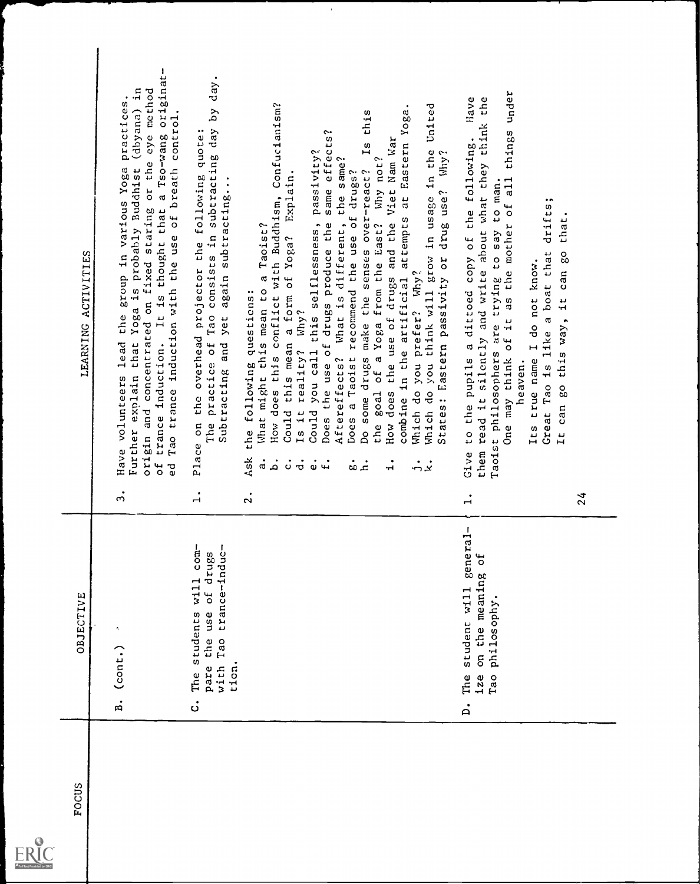| Full Text Provided by ERIC |
|----------------------------|

| <b>FOCUS</b> | OBJECTIVE                                                                                                                           | LEARNING ACTIVITIES                                                                                                                                                                                                                                                                                                                                                                                                                                                                                                                                                                                                                                                                                                                                                                                                                                                                                        |
|--------------|-------------------------------------------------------------------------------------------------------------------------------------|------------------------------------------------------------------------------------------------------------------------------------------------------------------------------------------------------------------------------------------------------------------------------------------------------------------------------------------------------------------------------------------------------------------------------------------------------------------------------------------------------------------------------------------------------------------------------------------------------------------------------------------------------------------------------------------------------------------------------------------------------------------------------------------------------------------------------------------------------------------------------------------------------------|
|              | $\pmb{r}_\text{r}$<br>$_{\rm{const.}}$<br>$\ddot{a}$                                                                                | trance induction. It is thought that a Tso-wang originat-<br>Further explain that Yoga is probably Buddhist (dbyana) in<br>origin and concentrated on fixed staring or the eye method<br>Have volunteers lead the group in various Yoga practices.<br>Tao trance induction with the use of breath control.<br>of<br>ರ<br>$\ddot{ }$                                                                                                                                                                                                                                                                                                                                                                                                                                                                                                                                                                        |
|              | $\overline{\text{con}}$<br>trance-induc-<br>of drugs<br>width<br>students<br>use<br>the<br>Tao<br>pare<br>ticn.<br>with<br>The<br>ပ | $day$ .<br>consists in subtracting day by<br>Place on the overhead projector the following quote:<br>subtracting<br>again<br>The practice of Tao<br>and yet<br>Subtracting<br>$\dot{a}$                                                                                                                                                                                                                                                                                                                                                                                                                                                                                                                                                                                                                                                                                                                    |
|              |                                                                                                                                     | does this conflict with Buddhism, Confucianism?<br>United<br>this<br>at Eastern Yoga<br>same effects?<br>How does the use of drugs and the Viet Nam War<br>1s<br>Which do you think will grow in usage in the<br>passivity?<br>Why not?<br>the same?<br>Do some drugs make the senses over-react?<br>the goal of a Yoga from the East? Why not<br>Does a Taoist recommend the use of drugs?<br>Could this mean a form of Yoga? Explain.<br>attempts<br>Could you call this selflessness,<br>Does the use of drugs produce the<br>different,<br>What might this mean to a Taoist?<br>Which do you prefer? Why?<br>combine in the artificial<br>the following questions:<br>Aftereffects? What is<br>reality? Why?<br>Is it<br>How<br>Åsk<br>$\ddot{a}$<br>$\dot{\sigma}$<br>.<br>م<br>$\mathring{\mathrm{o}}$<br>$\ddot{u}$<br>$\dot{\omega}$<br>.<br>تم<br>$\ddot{ }$<br>$\frac{1}{2}x$<br>$\ddot{\Omega}$ |
|              | ı.<br>genera1<br>on the meaning of<br>student will<br>philosophy.<br>$1$ ze<br>Tao<br>The<br>$\dot{\mathsf{n}}$                     | things under<br>them read it silently and write about what they think the<br>Have<br>to the pupils a dittoed copy of the following.<br>States: Eastern passivity or drug use? Why?<br>of it as the mother of all<br>Taoist philosophers are trying to say to man.<br>drifts;<br>that.<br>Great Tao is like a boat that<br>can go this way, it can go<br>Its true name I do not know.<br>One may think<br>heaven.<br>I <sub>t</sub><br>Give<br>$\ddot{ }$                                                                                                                                                                                                                                                                                                                                                                                                                                                   |
|              |                                                                                                                                     | $\frac{24}{3}$                                                                                                                                                                                                                                                                                                                                                                                                                                                                                                                                                                                                                                                                                                                                                                                                                                                                                             |

 $\bar{\mathbf{r}}$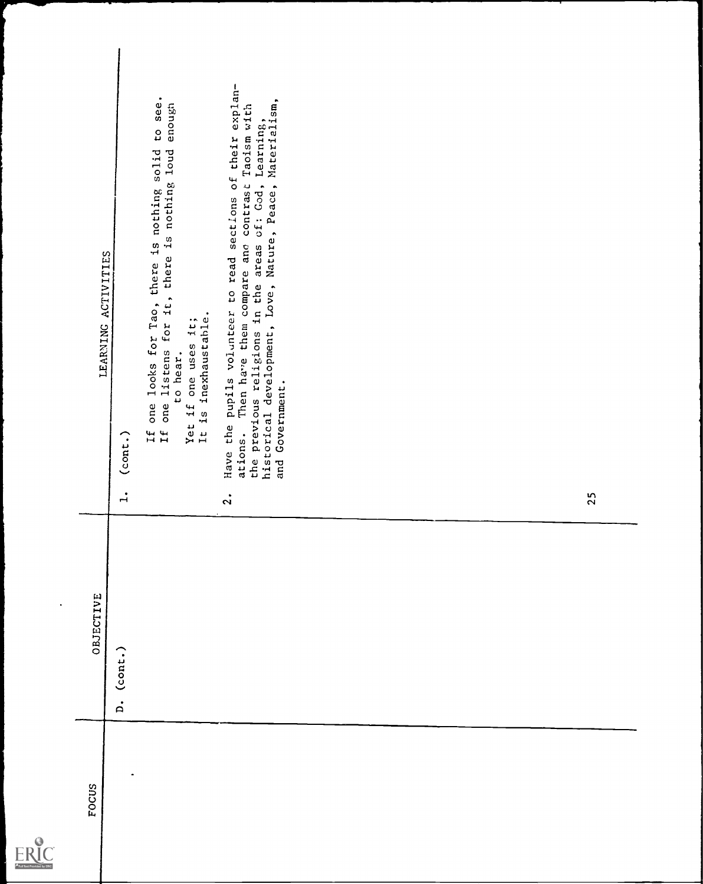| <b>Full Text Provided by ERIC</b> |
|-----------------------------------|

 $\ddot{\phantom{a}}$ 

|              | LEARNING ACTIVITIES | $_{(cont.)}$<br>$\ddot{ }$ | to see.<br>enough<br>If one listens for it, there is nothing loud<br>one looks for Tao, there is nothing solid<br>Yet if one uses it;<br>It is inexhaustable.<br>to hear.<br>$\mathbf{H}$ | Have the pupils volunteer to read sections of their explan-<br>ations. Then have them compare ano contrast Taoism with<br>the previous religions in the areas of: God, Learning,<br>historical development, Love, Nature, Peace, Materialism,<br>and Government.<br>$\ddot{\Omega}$ |  |  | 25 |
|--------------|---------------------|----------------------------|-------------------------------------------------------------------------------------------------------------------------------------------------------------------------------------------|-------------------------------------------------------------------------------------------------------------------------------------------------------------------------------------------------------------------------------------------------------------------------------------|--|--|----|
|              | OBJECTIVE           | $_{(cont.)}$<br>$\dot{a}$  |                                                                                                                                                                                           |                                                                                                                                                                                                                                                                                     |  |  |    |
| <b>FOCUS</b> |                     |                            |                                                                                                                                                                                           |                                                                                                                                                                                                                                                                                     |  |  |    |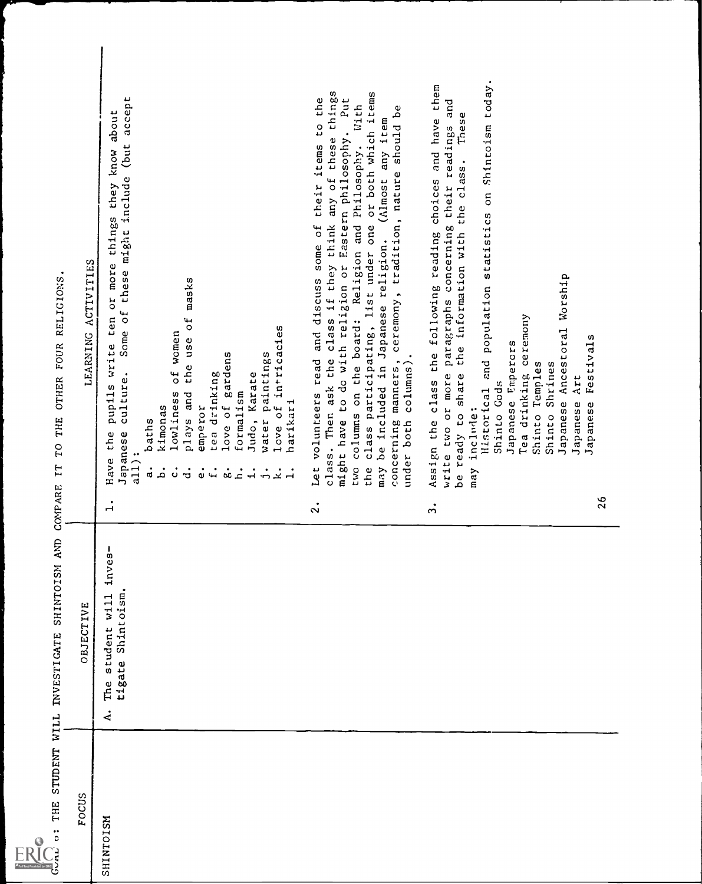

| OTHER FOUR RELIGIONS<br>TO THE<br>COMPARE IT  | LEARNING ACTIVITIES | accept<br>about<br>Some of these might include (but<br>they know<br>or more things<br>masks<br>pupils write ten<br>$\mathfrak{h}$<br>of intricacies<br>of women<br>the use<br>love of gardens<br>paintings<br>culture.<br>Judo, Karate<br>drinking<br>plays and<br>lowliness<br>formalism<br>harikari<br>emperor<br>kimonas<br>water<br>baths<br><b>love</b><br>Japanese<br>tea<br>the<br>$a11$ ):<br>Have<br>$\ddot{a}$<br>.<br>م<br>$\dot{\circ}$<br>$\ddot{d}$ .<br>$\mathfrak{t}$<br>$\ddot{\circ}$<br>$\dot{\alpha}$<br>$\dot{a}$<br>$\ddot{ }$<br>ۼ<br>$\dot{5}$<br>$\mathbf{I}$<br>$\overline{\phantom{0}}$ | things<br>or both which items<br>the<br>Put<br>With<br>should be<br>item<br>$\frac{0}{2}$<br>Eastern philosophy.<br>these<br>their items<br>columns on the board: Religion and Philosophy.<br>any<br>ceremony, tradition, nature<br>any of<br>be included in Japanese religion. (Almost<br>class. Then ask the class if they think<br>Let volunteers read and discuss some of<br>class participating, list under one<br>might have to do with religion or<br>concerning manners,<br>under both columns).<br>two<br>maxy<br>the<br>$\ddot{\mathbf{c}}$ | population statistics on Shintoism today.<br>Assign the class the following reading choices and have them<br>and<br>These<br>paragraphs concerning their readings<br>the information with the class.<br>Worship<br>ceremony<br>Ancestoral<br>Festivals<br>Japanese Emperors<br>Historical and<br>Shinto Temples<br>Shrines<br>write two or more<br>share<br>Tea drinking<br>Art<br>Shinto Gods<br>Japanese<br>Japanese<br>Japanese<br>include:<br>be ready to<br>Shinto<br>may<br>$\frac{8}{2}$<br>$\ddot{ }$ |
|-----------------------------------------------|---------------------|--------------------------------------------------------------------------------------------------------------------------------------------------------------------------------------------------------------------------------------------------------------------------------------------------------------------------------------------------------------------------------------------------------------------------------------------------------------------------------------------------------------------------------------------------------------------------------------------------------------------|-------------------------------------------------------------------------------------------------------------------------------------------------------------------------------------------------------------------------------------------------------------------------------------------------------------------------------------------------------------------------------------------------------------------------------------------------------------------------------------------------------------------------------------------------------|---------------------------------------------------------------------------------------------------------------------------------------------------------------------------------------------------------------------------------------------------------------------------------------------------------------------------------------------------------------------------------------------------------------------------------------------------------------------------------------------------------------|
| AND<br>THE STUDENT WILL INVESTIGATE SHINTOISM | <b>OBJECTIVE</b>    | $1nveg -$<br>tigate Shintoism.<br>v111<br>student<br>The<br>$\ddot{\mathbf{r}}$                                                                                                                                                                                                                                                                                                                                                                                                                                                                                                                                    |                                                                                                                                                                                                                                                                                                                                                                                                                                                                                                                                                       |                                                                                                                                                                                                                                                                                                                                                                                                                                                                                                               |
| Gond of                                       | <b>FOCUS</b>        | <b>NSIOLNINS</b>                                                                                                                                                                                                                                                                                                                                                                                                                                                                                                                                                                                                   |                                                                                                                                                                                                                                                                                                                                                                                                                                                                                                                                                       |                                                                                                                                                                                                                                                                                                                                                                                                                                                                                                               |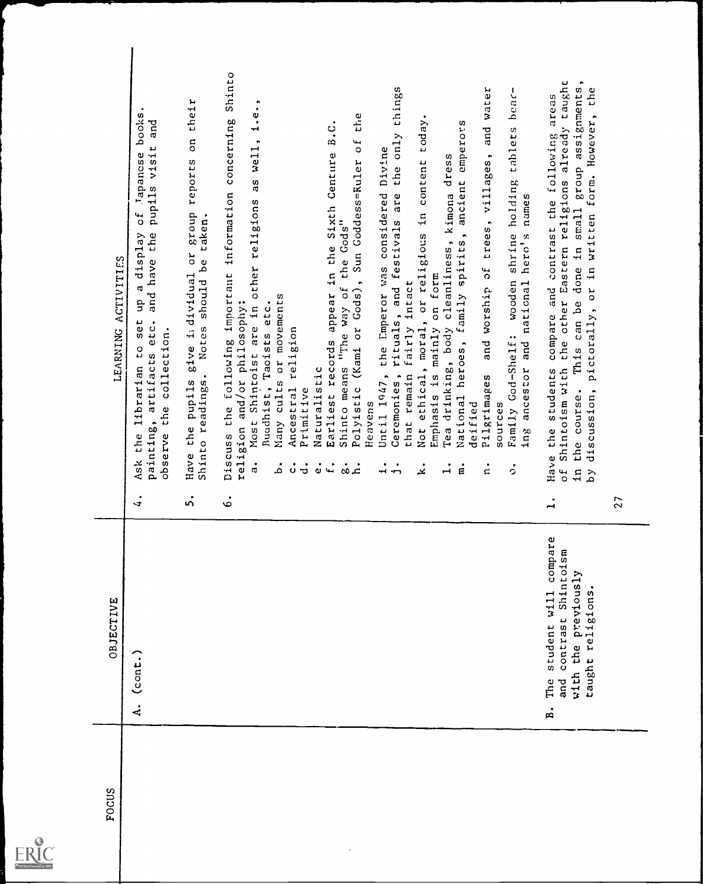

| <b>FOCUS</b> | OBJECTIVE                                                                                                             |               | ACTIVITIES<br>LEARNING                                                                                                                                                                                                                                                                                                                           |
|--------------|-----------------------------------------------------------------------------------------------------------------------|---------------|--------------------------------------------------------------------------------------------------------------------------------------------------------------------------------------------------------------------------------------------------------------------------------------------------------------------------------------------------|
|              | $_{(\texttt{cont.})}$<br>$\ddot{\mathbf{A}}$                                                                          | $\ddot{ }$    | books<br>and<br>pupils visit<br>of Japancse<br>the<br>display<br>and have<br>d<br>qu<br>set<br>artifacts etc.<br>collection.<br>librarian to<br>the<br>painting,<br>observe<br>the<br>Ask                                                                                                                                                        |
|              |                                                                                                                       | ທ່            | their<br>$\overline{5}$<br>reports<br>pupils give individual or group<br>Shinto readings. Notes should be taken.<br>Have the                                                                                                                                                                                                                     |
|              |                                                                                                                       | $\dot{\circ}$ | Shinto<br>i.e.,<br>concerning<br>well,<br>as<br>Discuss the following important information<br>other religions<br>religion and/or philosophy:<br>$\mathbf{m}$<br>are<br>Shintoist<br><b>Most</b><br>$\ddot{a}$                                                                                                                                   |
|              |                                                                                                                       |               | Many cults or movements<br>Buodhist, Taoists etc.<br>Ancestral religion<br>Primitive<br>.<br>م<br>ပ<br>$\dot{\sigma}$                                                                                                                                                                                                                            |
|              |                                                                                                                       |               | B. C.<br>Centure<br>Earliest records appear in the Sixth<br>Naturalistic<br>$\dot{\rm e}$<br>$\ddot{ }$                                                                                                                                                                                                                                          |
|              |                                                                                                                       |               | tia<br>ti<br>$\overline{a}$<br>(Kami or Gods), Sun Goddess=Ruler<br>Shinto means "The way of the Gods"<br>Polyistic<br>Heavens<br>$\dot{\infty}$                                                                                                                                                                                                 |
|              |                                                                                                                       |               | things<br>the only<br>Divine<br>festivals are<br>the Emperor was considered<br>fairly intact<br>rituals, and<br>Until 1947,<br>that remain<br>Ceremonies,<br>$\ddot{ }$<br>$\frac{1}{1}$                                                                                                                                                         |
|              |                                                                                                                       |               | today.<br>Not ethical, moral, or religious in content<br>is mainly on form<br>Emphasis<br>.<br>بد                                                                                                                                                                                                                                                |
|              |                                                                                                                       |               | National heroes, family spirits, ancient emperors<br>Tea drinking, body cleanliness, kimona dress<br>deified<br>$\ddot{ }$<br>ė                                                                                                                                                                                                                  |
|              |                                                                                                                       |               | water<br>and<br>and worship of trees, villages,<br>Pilgrimages<br>sources<br>$\dot{a}$                                                                                                                                                                                                                                                           |
|              |                                                                                                                       |               | beac-<br>tablets<br>wooden shrine holding<br>names<br>hero's<br>ancestor and national<br>Family God-Shelf:<br>$_{\text{ing}}$<br>ં                                                                                                                                                                                                               |
|              | compare<br>$\sin$<br>contrast Shintoi<br>with the previously<br>taught religions.<br>student will<br>The<br>and<br>B. | $\mathbf{I}$  | taught<br>group assignments,<br>the<br>areas<br>pictorally, or in written form. However,<br>Shintoism with the other Eastern religions already<br>compare and contrast the following<br>sma <sub>11</sub><br>done in<br>the course. This can be<br>Have the students<br>discussion,<br>$\overline{5}$<br>$\overline{\mathbf{u}}$<br>$\mathbf{S}$ |
|              |                                                                                                                       | 27            |                                                                                                                                                                                                                                                                                                                                                  |
|              |                                                                                                                       |               |                                                                                                                                                                                                                                                                                                                                                  |

 $\ddot{\phantom{a}}$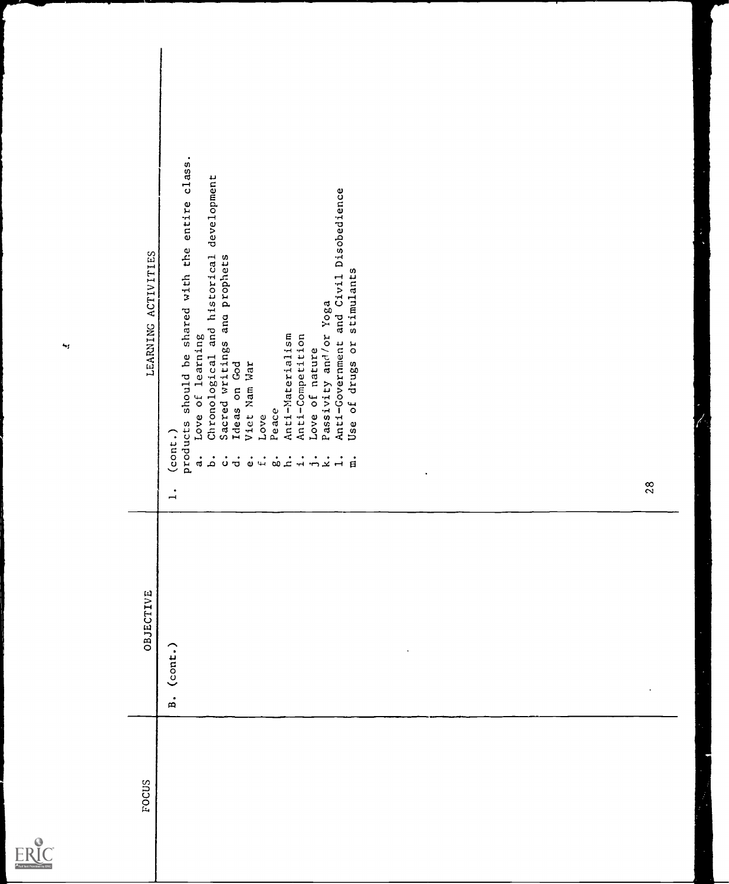

| LEARNING ACTIVITIES | shared with the entire class.<br>development<br>Anti-Government and Civil Disobedience<br>Chronological and historical<br>Sacred writings and prophets<br>Ideas on God<br>stimulants<br>Passivity and/or Yoga<br>Anti-Materialism<br>Love of learning<br>Anti-Competition<br>Use of drugs or<br>Love of nature<br>products should be<br>Viet Nam War<br>Peace<br>Love<br>$_{(cont.)}$<br>$\ddot{a}$<br>.<br>م<br>ۼ<br>1.721<br>$\mathring{\mathbf{u}}$ .<br>$\dot{\infty}$<br>$\dot{a}$<br>$\mathring{\mathrm{o}}$<br>$\dot{\mathbf{c}}$<br>$\overline{\phantom{0}}$ | 28 |
|---------------------|----------------------------------------------------------------------------------------------------------------------------------------------------------------------------------------------------------------------------------------------------------------------------------------------------------------------------------------------------------------------------------------------------------------------------------------------------------------------------------------------------------------------------------------------------------------------|----|
| OBJECTIVE           | $_{(cont.)}$<br>$\ddot{a}$                                                                                                                                                                                                                                                                                                                                                                                                                                                                                                                                           |    |
| FOCUS               |                                                                                                                                                                                                                                                                                                                                                                                                                                                                                                                                                                      |    |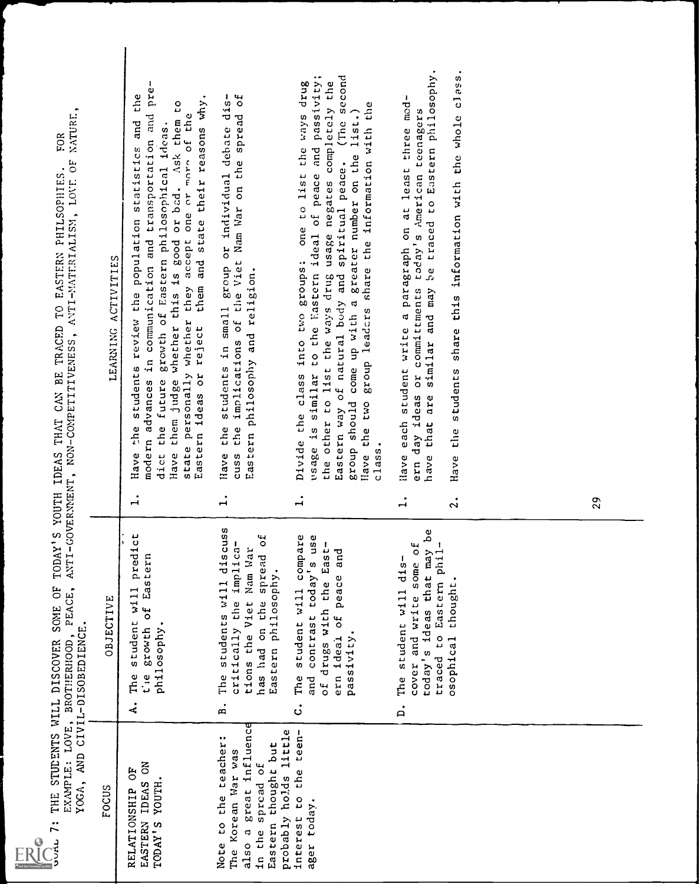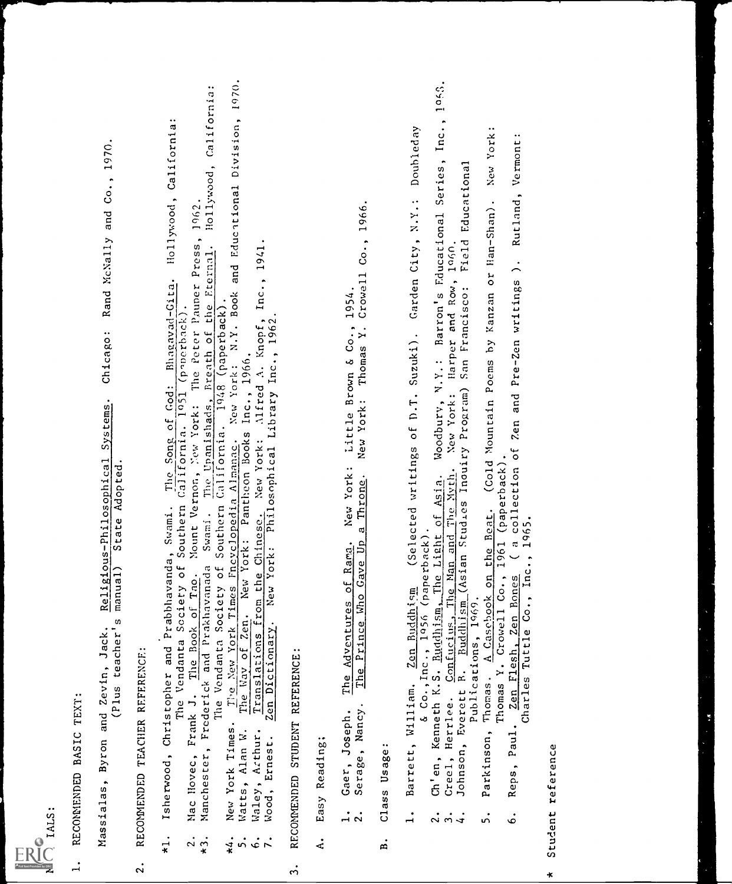

- 
- as data any and parts. Independent in the second of the second second and second and only one of the second one of the second one of the second one of the second one of the second one of the second one of the second one o
	-
- 
- -
- 
- 
- -
- 
- 
- 

Student reference